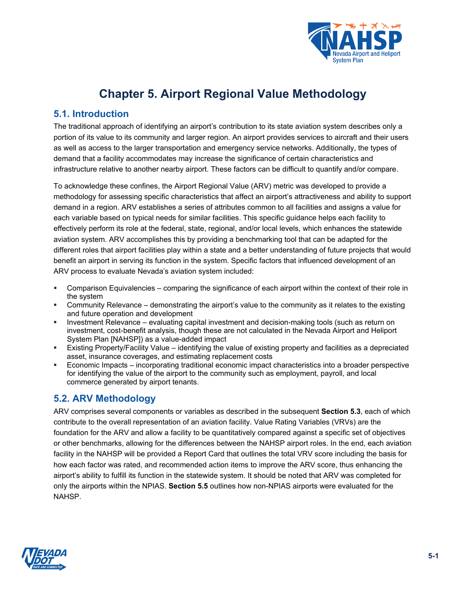

# **Chapter 5. Airport Regional Value Methodology**

## **5.1. Introduction**

The traditional approach of identifying an airport's contribution to its state aviation system describes only a portion of its value to its community and larger region. An airport provides services to aircraft and their users as well as access to the larger transportation and emergency service networks. Additionally, the types of demand that a facility accommodates may increase the significance of certain characteristics and infrastructure relative to another nearby airport. These factors can be difficult to quantify and/or compare.

To acknowledge these confines, the Airport Regional Value (ARV) metric was developed to provide a methodology for assessing specific characteristics that affect an airport's attractiveness and ability to support demand in a region. ARV establishes a series of attributes common to all facilities and assigns a value for each variable based on typical needs for similar facilities. This specific guidance helps each facility to effectively perform its role at the federal, state, regional, and/or local levels, which enhances the statewide aviation system. ARV accomplishes this by providing a benchmarking tool that can be adapted for the different roles that airport facilities play within a state and a better understanding of future projects that would benefit an airport in serving its function in the system. Specific factors that influenced development of an ARV process to evaluate Nevada's aviation system included:

- Comparison Equivalencies comparing the significance of each airport within the context of their role in the system
- Community Relevance demonstrating the airport's value to the community as it relates to the existing and future operation and development
- Investment Relevance evaluating capital investment and decision-making tools (such as return on investment, cost-benefit analysis, though these are not calculated in the Nevada Airport and Heliport System Plan [NAHSP]) as a value-added impact
- Existing Property/Facility Value identifying the value of existing property and facilities as a depreciated asset, insurance coverages, and estimating replacement costs
- Economic Impacts incorporating traditional economic impact characteristics into a broader perspective for identifying the value of the airport to the community such as employment, payroll, and local commerce generated by airport tenants.

## **5.2. ARV Methodology**

ARV comprises several components or variables as described in the subsequent **Section [5.3](#page-3-0)**, each of which contribute to the overall representation of an aviation facility. Value Rating Variables (VRVs) are the foundation for the ARV and allow a facility to be quantitatively compared against a specific set of objectives or other benchmarks, allowing for the differences between the NAHSP airport roles. In the end, each aviation facility in the NAHSP will be provided a Report Card that outlines the total VRV score including the basis for how each factor was rated, and recommended action items to improve the ARV score, thus enhancing the airport's ability to fulfill its function in the statewide system. It should be noted that ARV was completed for only the airports within the NPIAS. **Section [5.5](#page-32-0)** outlines how non-NPIAS airports were evaluated for the **NAHSP** 

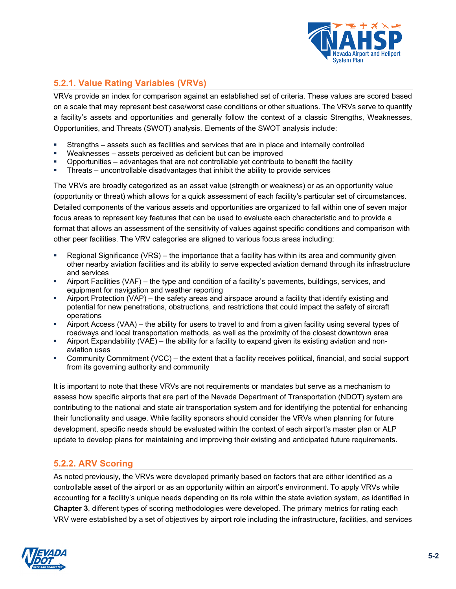

## **5.2.1. Value Rating Variables (VRVs)**

VRVs provide an index for comparison against an established set of criteria. These values are scored based on a scale that may represent best case/worst case conditions or other situations. The VRVs serve to quantify a facility's assets and opportunities and generally follow the context of a classic Strengths, Weaknesses, Opportunities, and Threats (SWOT) analysis. Elements of the SWOT analysis include:

- Strengths assets such as facilities and services that are in place and internally controlled
- Weaknesses assets perceived as deficient but can be improved
- Opportunities advantages that are not controllable yet contribute to benefit the facility
- Threats uncontrollable disadvantages that inhibit the ability to provide services

The VRVs are broadly categorized as an asset value (strength or weakness) or as an opportunity value (opportunity or threat) which allows for a quick assessment of each facility's particular set of circumstances. Detailed components of the various assets and opportunities are organized to fall within one of seven major focus areas to represent key features that can be used to evaluate each characteristic and to provide a format that allows an assessment of the sensitivity of values against specific conditions and comparison with other peer facilities. The VRV categories are aligned to various focus areas including:

- Regional Significance (VRS) the importance that a facility has within its area and community given other nearby aviation facilities and its ability to serve expected aviation demand through its infrastructure and services
- Airport Facilities (VAF) the type and condition of a facility's pavements, buildings, services, and equipment for navigation and weather reporting
- Airport Protection (VAP) the safety areas and airspace around a facility that identify existing and potential for new penetrations, obstructions, and restrictions that could impact the safety of aircraft operations
- Airport Access (VAA) the ability for users to travel to and from a given facility using several types of roadways and local transportation methods, as well as the proximity of the closest downtown area
- Airport Expandability (VAE) the ability for a facility to expand given its existing aviation and nonaviation uses
- Community Commitment (VCC) the extent that a facility receives political, financial, and social support from its governing authority and community

It is important to note that these VRVs are not requirements or mandates but serve as a mechanism to assess how specific airports that are part of the Nevada Department of Transportation (NDOT) system are contributing to the national and state air transportation system and for identifying the potential for enhancing their functionality and usage. While facility sponsors should consider the VRVs when planning for future development, specific needs should be evaluated within the context of each airport's master plan or ALP update to develop plans for maintaining and improving their existing and anticipated future requirements.

## **5.2.2. ARV Scoring**

As noted previously, the VRVs were developed primarily based on factors that are either identified as a controllable asset of the airport or as an opportunity within an airport's environment. To apply VRVs while accounting for a facility's unique needs depending on its role within the state aviation system, as identified in **Chapter 3**, different types of scoring methodologies were developed. The primary metrics for rating each VRV were established by a set of objectives by airport role including the infrastructure, facilities, and services

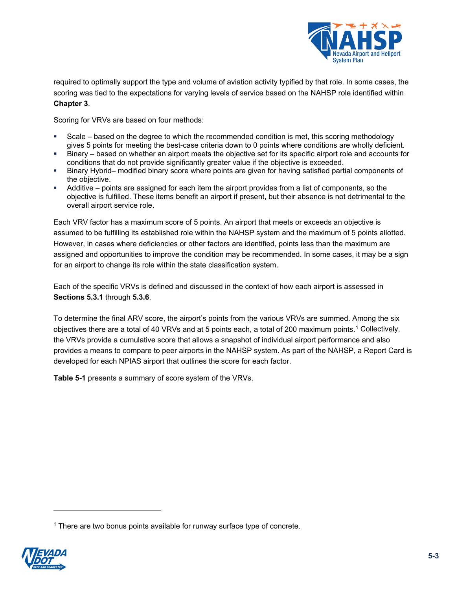

required to optimally support the type and volume of aviation activity typified by that role. In some cases, the scoring was tied to the expectations for varying levels of service based on the NAHSP role identified within **Chapter 3**.

Scoring for VRVs are based on four methods:

- Scale based on the degree to which the recommended condition is met, this scoring methodology gives 5 points for meeting the best-case criteria down to 0 points where conditions are wholly deficient.
- Binary based on whether an airport meets the objective set for its specific airport role and accounts for conditions that do not provide significantly greater value if the objective is exceeded.
- Binary Hybrid– modified binary score where points are given for having satisfied partial components of the objective.
- Additive points are assigned for each item the airport provides from a list of components, so the objective is fulfilled. These items benefit an airport if present, but their absence is not detrimental to the overall airport service role.

Each VRV factor has a maximum score of 5 points. An airport that meets or exceeds an objective is assumed to be fulfilling its established role within the NAHSP system and the maximum of 5 points allotted. However, in cases where deficiencies or other factors are identified, points less than the maximum are assigned and opportunities to improve the condition may be recommended. In some cases, it may be a sign for an airport to change its role within the state classification system.

Each of the specific VRVs is defined and discussed in the context of how each airport is assessed in **Sections [5.3.1](#page-3-1)** through **[5.3.6](#page-27-0)**.

To determine the final ARV score, the airport's points from the various VRVs are summed. Among the six objectives there are a total of 40 VRVs and at 5 points each, a total of 200 maximum points.[1](#page-2-1) Collectively, the VRVs provide a cumulative score that allows a snapshot of individual airport performance and also provides a means to compare to peer airports in the NAHSP system. As part of the NAHSP, a Report Card is developed for each NPIAS airport that outlines the score for each factor.

<span id="page-2-0"></span>**[Table 5-1](#page-2-0)** presents a summary of score system of the VRVs.

<span id="page-2-1"></span><sup>1</sup> There are two bonus points available for runway surface type of concrete.

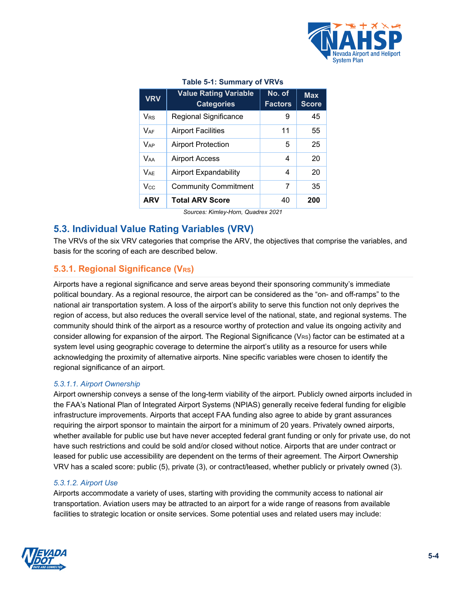

#### **Table 5-1: Summary of VRVs**

| <b>VRV</b>            | <b>Value Rating Variable</b><br><b>Categories</b> | No. of<br><b>Factors</b> | <b>Max</b><br><b>Score</b> |
|-----------------------|---------------------------------------------------|--------------------------|----------------------------|
| V <sub>RS</sub>       | <b>Regional Significance</b>                      | 9                        | 45                         |
| $V_{AF}$              | <b>Airport Facilities</b>                         | 11                       | 55                         |
| <b>V<sub>AP</sub></b> | <b>Airport Protection</b>                         | 5                        | 25                         |
| <b>VAA</b>            | <b>Airport Access</b>                             | 4                        | 20                         |
| $V_{AF}$              | Airport Expandability                             | 4                        | 20                         |
| Vcc.                  | <b>Community Commitment</b>                       | 7                        | 35                         |
| <b>ARV</b>            | <b>Total ARV Score</b>                            | 40                       | 200                        |

*Sources: Kimley-Horn, Quadrex 2021*

## <span id="page-3-0"></span>**5.3. Individual Value Rating Variables (VRV)**

The VRVs of the six VRV categories that comprise the ARV, the objectives that comprise the variables, and basis for the scoring of each are described below.

## <span id="page-3-1"></span>**5.3.1. Regional Significance (VRS)**

Airports have a regional significance and serve areas beyond their sponsoring community's immediate political boundary. As a regional resource, the airport can be considered as the "on- and off-ramps" to the national air transportation system. A loss of the airport's ability to serve this function not only deprives the region of access, but also reduces the overall service level of the national, state, and regional systems. The community should think of the airport as a resource worthy of protection and value its ongoing activity and consider allowing for expansion of the airport. The Regional Significance ( $V_{RS}$ ) factor can be estimated at a system level using geographic coverage to determine the airport's utility as a resource for users while acknowledging the proximity of alternative airports. Nine specific variables were chosen to identify the regional significance of an airport.

#### *5.3.1.1. Airport Ownership*

Airport ownership conveys a sense of the long-term viability of the airport. Publicly owned airports included in the FAA's National Plan of Integrated Airport Systems (NPIAS) generally receive federal funding for eligible infrastructure improvements. Airports that accept FAA funding also agree to abide by grant assurances requiring the airport sponsor to maintain the airport for a minimum of 20 years. Privately owned airports, whether available for public use but have never accepted federal grant funding or only for private use, do not have such restrictions and could be sold and/or closed without notice. Airports that are under contract or leased for public use accessibility are dependent on the terms of their agreement. The Airport Ownership VRV has a scaled score: public (5), private (3), or contract/leased, whether publicly or privately owned (3).

#### *5.3.1.2. Airport Use*

Airports accommodate a variety of uses, starting with providing the community access to national air transportation. Aviation users may be attracted to an airport for a wide range of reasons from available facilities to strategic location or onsite services. Some potential uses and related users may include:

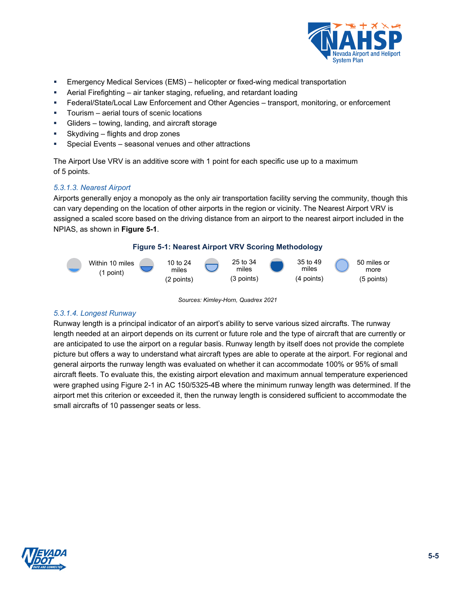

- Emergency Medical Services (EMS) helicopter or fixed-wing medical transportation
- Aerial Firefighting air tanker staging, refueling, and retardant loading
- Federal/State/Local Law Enforcement and Other Agencies transport, monitoring, or enforcement
- **Tourism** aerial tours of scenic locations
- Gliders towing, landing, and aircraft storage
- Skydiving flights and drop zones
- Special Events seasonal venues and other attractions

The Airport Use VRV is an additive score with 1 point for each specific use up to a maximum of 5 points.

## *5.3.1.3. Nearest Airport*

Airports generally enjoy a monopoly as the only air transportation facility serving the community, though this can vary depending on the location of other airports in the region or vicinity. The Nearest Airport VRV is assigned a scaled score based on the driving distance from an airport to the nearest airport included in the NPIAS, as shown in **Figure 5-1**.

#### **Figure 5-1: Nearest Airport VRV Scoring Methodology**



*Sources: Kimley-Horn, Quadrex 2021*

#### *5.3.1.4. Longest Runway*

Runway length is a principal indicator of an airport's ability to serve various sized aircrafts. The runway length needed at an airport depends on its current or future role and the type of aircraft that are currently or are anticipated to use the airport on a regular basis. Runway length by itself does not provide the complete picture but offers a way to understand what aircraft types are able to operate at the airport. For regional and general airports the runway length was evaluated on whether it can accommodate 100% or 95% of small aircraft fleets. To evaluate this, the existing airport elevation and maximum annual temperature experienced were graphed using Figure 2-1 in AC 150/5325-4B where the minimum runway length was determined. If the airport met this criterion or exceeded it, then the runway length is considered sufficient to accommodate the small aircrafts of 10 passenger seats or less.

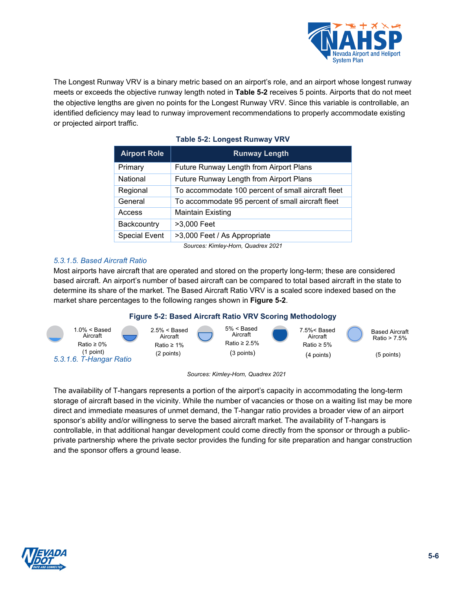

The Longest Runway VRV is a binary metric based on an airport's role, and an airport whose longest runway meets or exceeds the objective runway length noted in **[Table 5-2](#page-5-0)** receives 5 points. Airports that do not meet the objective lengths are given no points for the Longest Runway VRV. Since this variable is controllable, an identified deficiency may lead to runway improvement recommendations to properly accommodate existing or projected airport traffic.

<span id="page-5-0"></span>

| <b>Airport Role</b>                | <b>Runway Length</b>                               |  |  |
|------------------------------------|----------------------------------------------------|--|--|
| Primary                            | Future Runway Length from Airport Plans            |  |  |
| National                           | Future Runway Length from Airport Plans            |  |  |
| Regional                           | To accommodate 100 percent of small aircraft fleet |  |  |
| General                            | To accommodate 95 percent of small aircraft fleet  |  |  |
| Access                             | <b>Maintain Existing</b>                           |  |  |
| Backcountry                        | >3,000 Feet                                        |  |  |
| <b>Special Event</b>               | >3,000 Feet / As Appropriate                       |  |  |
| Cources: Kimley Horn, Quadrey 2021 |                                                    |  |  |

## **Table 5-2: Longest Runway VRV**

*Sources: Kimley-Horn, Quadrex 2021*

## *5.3.1.5. Based Aircraft Ratio*

Most airports have aircraft that are operated and stored on the property long-term; these are considered based aircraft. An airport's number of based aircraft can be compared to total based aircraft in the state to determine its share of the market. The Based Aircraft Ratio VRV is a scaled score indexed based on the market share percentages to the following ranges shown in **[Figure 5-2](#page-5-1)**.

## **Figure 5-2: Based Aircraft Ratio VRV Scoring Methodology**

<span id="page-5-1"></span>



The availability of T-hangars represents a portion of the airport's capacity in accommodating the long-term storage of aircraft based in the vicinity. While the number of vacancies or those on a waiting list may be more direct and immediate measures of unmet demand, the T-hangar ratio provides a broader view of an airport sponsor's ability and/or willingness to serve the based aircraft market. The availability of T-hangars is controllable, in that additional hangar development could come directly from the sponsor or through a publicprivate partnership where the private sector provides the funding for site preparation and hangar construction and the sponsor offers a ground lease.

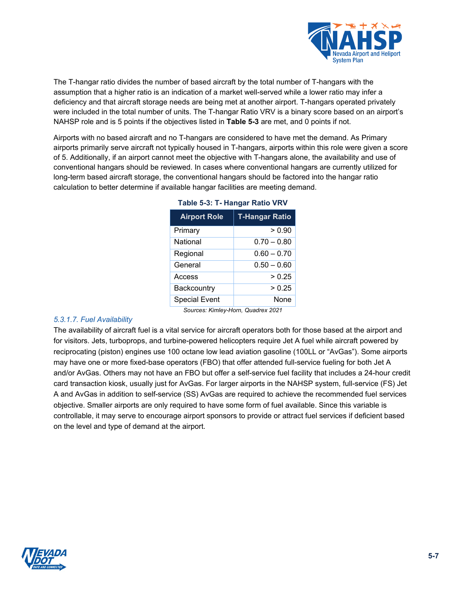

The T-hangar ratio divides the number of based aircraft by the total number of T-hangars with the assumption that a higher ratio is an indication of a market well-served while a lower ratio may infer a deficiency and that aircraft storage needs are being met at another airport. T-hangars operated privately were included in the total number of units. The T-hangar Ratio VRV is a binary score based on an airport's NAHSP role and is 5 points if the objectives listed in **[Table 5-3](#page-6-0)** are met, and 0 points if not.

<span id="page-6-0"></span>Airports with no based aircraft and no T-hangars are considered to have met the demand. As Primary airports primarily serve aircraft not typically housed in T-hangars, airports within this role were given a score of 5. Additionally, if an airport cannot meet the objective with T-hangars alone, the availability and use of conventional hangars should be reviewed. In cases where conventional hangars are currently utilized for long-term based aircraft storage, the conventional hangars should be factored into the hangar ratio calculation to better determine if available hangar facilities are meeting demand.

| <b>Airport Role</b>  | <b>T-Hangar Ratio</b> |
|----------------------|-----------------------|
| Primary              | > 0.90                |
| National             | $0.70 - 0.80$         |
| Regional             | $0.60 - 0.70$         |
| General              | $0.50 - 0.60$         |
| Access               | > 0.25                |
| <b>Backcountry</b>   | > 0.25                |
| <b>Special Event</b> | None                  |

| Table 5-3: T- Hangar Ratio VRV |  |
|--------------------------------|--|
|--------------------------------|--|

*Sources: Kimley-Horn, Quadrex 2021*

#### *5.3.1.7. Fuel Availability*

The availability of aircraft fuel is a vital service for aircraft operators both for those based at the airport and for visitors. Jets, turboprops, and turbine-powered helicopters require Jet A fuel while aircraft powered by reciprocating (piston) engines use 100 octane low lead aviation gasoline (100LL or "AvGas"). Some airports may have one or more fixed-base operators (FBO) that offer attended full-service fueling for both Jet A and/or AvGas. Others may not have an FBO but offer a self-service fuel facility that includes a 24-hour credit card transaction kiosk, usually just for AvGas. For larger airports in the NAHSP system, full-service (FS) Jet A and AvGas in addition to self-service (SS) AvGas are required to achieve the recommended fuel services objective. Smaller airports are only required to have some form of fuel available. Since this variable is controllable, it may serve to encourage airport sponsors to provide or attract fuel services if deficient based on the level and type of demand at the airport.

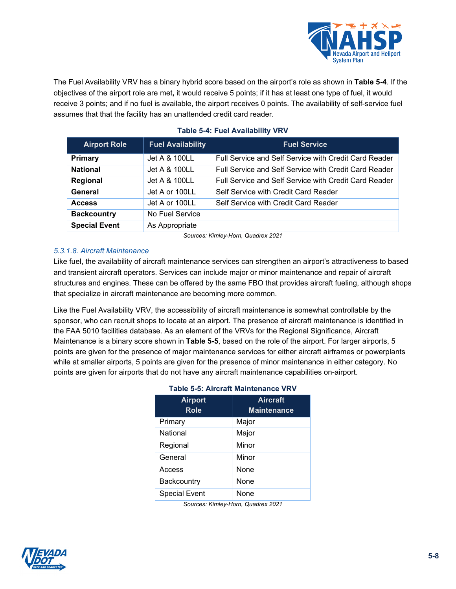

The Fuel Availability VRV has a binary hybrid score based on the airport's role as shown in **[Table 5-4](#page-7-0)**. If the objectives of the airport role are met**,** it would receive 5 points; if it has at least one type of fuel, it would receive 3 points; and if no fuel is available, the airport receives 0 points. The availability of self-service fuel assumes that that the facility has an unattended credit card reader.

<span id="page-7-0"></span>

| <b>Airport Role</b>  | <b>Fuel Availability</b> | <b>Fuel Service</b>                                   |
|----------------------|--------------------------|-------------------------------------------------------|
| <b>Primary</b>       | Jet A & 100LL            | Full Service and Self Service with Credit Card Reader |
| <b>National</b>      | Jet A & 100LL            | Full Service and Self Service with Credit Card Reader |
| Regional             | Jet A & 100LL            | Full Service and Self Service with Credit Card Reader |
| General              | Jet A or 100LL           | Self Service with Credit Card Reader                  |
| <b>Access</b>        | Jet A or 100LL           | Self Service with Credit Card Reader                  |
| <b>Backcountry</b>   | No Fuel Service          |                                                       |
| <b>Special Event</b> | As Appropriate           |                                                       |

## **Table 5-4: Fuel Availability VRV**

*Sources: Kimley-Horn, Quadrex 2021*

## *5.3.1.8. Aircraft Maintenance*

Like fuel, the availability of aircraft maintenance services can strengthen an airport's attractiveness to based and transient aircraft operators. Services can include major or minor maintenance and repair of aircraft structures and engines. These can be offered by the same FBO that provides aircraft fueling, although shops that specialize in aircraft maintenance are becoming more common.

<span id="page-7-1"></span>Like the Fuel Availability VRV, the accessibility of aircraft maintenance is somewhat controllable by the sponsor, who can recruit shops to locate at an airport. The presence of aircraft maintenance is identified in the FAA 5010 facilities database. As an element of the VRVs for the Regional Significance, Aircraft Maintenance is a binary score shown in **[Table 5-5](#page-7-1)**, based on the role of the airport. For larger airports, 5 points are given for the presence of major maintenance services for either aircraft airframes or powerplants while at smaller airports, 5 points are given for the presence of minor maintenance in either category. No points are given for airports that do not have any aircraft maintenance capabilities on-airport.

| <b>Airport</b><br><b>Role</b> | <b>Aircraft</b><br><b>Maintenance</b> |
|-------------------------------|---------------------------------------|
| Primary                       | Major                                 |
| National                      | Major                                 |
| Regional                      | Minor                                 |
| General                       | Minor                                 |
| Access                        | None                                  |
| Backcountry                   | None                                  |
| <b>Special Event</b>          | None                                  |

## **Table 5-5: Aircraft Maintenance VRV**

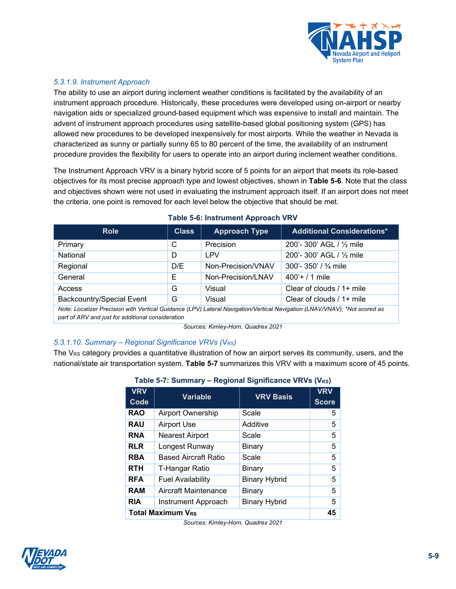

## *5.3.1.9. Instrument Approach*

The ability to use an airport during inclement weather conditions is facilitated by the availability of an instrument approach procedure. Historically, these procedures were developed using on-airport or nearby navigation aids or specialized ground-based equipment which was expensive to install and maintain. The advent of instrument approach procedures using satellite-based global positioning system (GPS) has allowed new procedures to be developed inexpensively for most airports. While the weather in Nevada is characterized as sunny or partially sunny 65 to 80 percent of the time, the availability of an instrument procedure provides the flexibility for users to operate into an airport during inclement weather conditions.

The Instrument Approach VRV is a binary hybrid score of 5 points for an airport that meets its role-based objectives for its most precise approach type and lowest objectives, shown in **[Table 5-6](#page-8-0)**. Note that the class and objectives shown were not used in evaluating the instrument approach itself. If an airport does not meet the criteria, one point is removed for each level below the objective that should be met.

<span id="page-8-0"></span>

| <b>Role</b>                                                                                                               | <b>Class</b> | <b>Approach Type</b> | <b>Additional Considerations*</b> |  |
|---------------------------------------------------------------------------------------------------------------------------|--------------|----------------------|-----------------------------------|--|
| Primary                                                                                                                   | C            | Precision            | 200'- 300' AGL / 1/2 mile         |  |
| National                                                                                                                  | D            | <b>LPV</b>           | 200'- 300' AGL / 1/2 mile         |  |
| Regional                                                                                                                  | D/E          | Non-Precision/VNAV   | 300'- 350' / $\frac{3}{4}$ mile   |  |
| General                                                                                                                   | Е            | Non-Precision/LNAV   | $400'+71$ mile                    |  |
| Access                                                                                                                    | G            | Visual               | Clear of clouds / 1+ mile         |  |
| <b>Backcountry/Special Event</b>                                                                                          | G            | Visual               | Clear of clouds / 1+ mile         |  |
| Note: Localizer Precision with Vertical Guidance (LPV) Lateral Navigation/Vertical Navigation (LNAV/VNAV); *Not scored as |              |                      |                                   |  |

#### **Table 5-6: Instrument Approach VRV**

*part of ARV and just for additional consideration*

*Sources: Kimley-Horn, Quadrex 2021*

## *5.3.1.10. Summary – Regional Significance VRVs (VRS)*

<span id="page-8-1"></span>The V<sub>RS</sub> category provides a quantitative illustration of how an airport serves its community, users, and the national/state air transportation system. **[Table 5-7](#page-8-1)** summarizes this VRV with a maximum score of 45 points.

| <b>VRV</b><br>Code       | <b>Variable</b>             | <b>VRV Basis</b>     | <b>VRV</b><br><b>Score</b> |
|--------------------------|-----------------------------|----------------------|----------------------------|
| <b>RAO</b>               | Airport Ownership           | Scale                | 5                          |
| <b>RAU</b>               | <b>Airport Use</b>          | Additive             | 5                          |
| <b>RNA</b>               | <b>Nearest Airport</b>      | Scale                | 5                          |
| <b>RLR</b>               | Longest Runway              | <b>Binary</b>        | 5                          |
| <b>RBA</b>               | <b>Based Aircraft Ratio</b> | Scale                | 5                          |
| <b>RTH</b>               | T-Hangar Ratio              | Binary               | 5                          |
| <b>RFA</b>               | <b>Fuel Availability</b>    | <b>Binary Hybrid</b> | 5                          |
| <b>RAM</b>               | Aircraft Maintenance        | Binary               | 5                          |
| <b>RIA</b>               | Instrument Approach         | <b>Binary Hybrid</b> | 5                          |
| <b>Total Maximum VRS</b> |                             |                      | 45                         |

**Table 5-7: Summary – Regional Significance VRVs (VRS)**

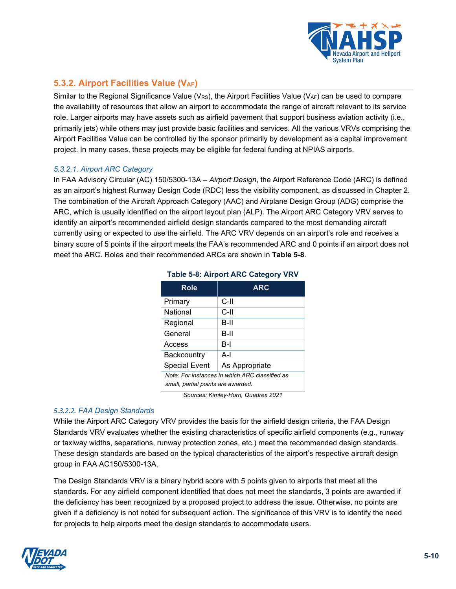

## **5.3.2. Airport Facilities Value (VAF)**

Similar to the Regional Significance Value (V<sub>RS</sub>), the Airport Facilities Value (V<sub>AF</sub>) can be used to compare the availability of resources that allow an airport to accommodate the range of aircraft relevant to its service role. Larger airports may have assets such as airfield pavement that support business aviation activity (i.e., primarily jets) while others may just provide basic facilities and services. All the various VRVs comprising the Airport Facilities Value can be controlled by the sponsor primarily by development as a capital improvement project. In many cases, these projects may be eligible for federal funding at NPIAS airports.

## *5.3.2.1. Airport ARC Category*

<span id="page-9-0"></span>In FAA Advisory Circular (AC) 150/5300-13A – *Airport Design*, the Airport Reference Code (ARC) is defined as an airport's highest Runway Design Code (RDC) less the visibility component, as discussed in Chapter 2. The combination of the Aircraft Approach Category (AAC) and Airplane Design Group (ADG) comprise the ARC, which is usually identified on the airport layout plan (ALP). The Airport ARC Category VRV serves to identify an airport's recommended airfield design standards compared to the most demanding aircraft currently using or expected to use the airfield. The ARC VRV depends on an airport's role and receives a binary score of 5 points if the airport meets the FAA's recommended ARC and 0 points if an airport does not meet the ARC. Roles and their recommended ARCs are shown in **[Table 5-8](#page-9-0)**.

| Role                                                                                 | <b>ARC</b>     |  |
|--------------------------------------------------------------------------------------|----------------|--|
| Primary                                                                              | C-II           |  |
| National                                                                             | C-II           |  |
| Regional                                                                             | B-II           |  |
| General                                                                              | B-II           |  |
| Access                                                                               | $B-I$          |  |
| Backcountry                                                                          | $A-I$          |  |
| <b>Special Event</b>                                                                 | As Appropriate |  |
| Note: For instances in which ARC classified as<br>small, partial points are awarded. |                |  |

## **Table 5-8: Airport ARC Category VRV**

*Sources: Kimley-Horn, Quadrex 2021*

#### *5.3.2.2. FAA Design Standards*

While the Airport ARC Category VRV provides the basis for the airfield design criteria, the FAA Design Standards VRV evaluates whether the existing characteristics of specific airfield components (e.g., runway or taxiway widths, separations, runway protection zones, etc.) meet the recommended design standards. These design standards are based on the typical characteristics of the airport's respective aircraft design group in FAA AC150/5300-13A.

The Design Standards VRV is a binary hybrid score with 5 points given to airports that meet all the standards. For any airfield component identified that does not meet the standards, 3 points are awarded if the deficiency has been recognized by a proposed project to address the issue. Otherwise, no points are given if a deficiency is not noted for subsequent action. The significance of this VRV is to identify the need for projects to help airports meet the design standards to accommodate users.

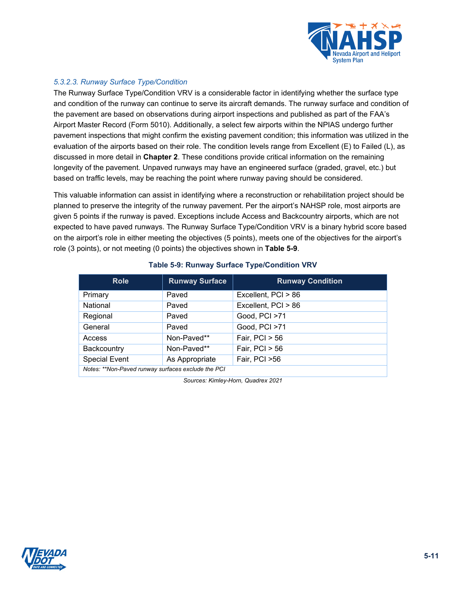

## *5.3.2.3. Runway Surface Type/Condition*

The Runway Surface Type/Condition VRV is a considerable factor in identifying whether the surface type and condition of the runway can continue to serve its aircraft demands. The runway surface and condition of the pavement are based on observations during airport inspections and published as part of the FAA's Airport Master Record (Form 5010). Additionally, a select few airports within the NPIAS undergo further pavement inspections that might confirm the existing pavement condition; this information was utilized in the evaluation of the airports based on their role. The condition levels range from Excellent (E) to Failed (L), as discussed in more detail in **Chapter 2**. These conditions provide critical information on the remaining longevity of the pavement. Unpaved runways may have an engineered surface (graded, gravel, etc.) but based on traffic levels, may be reaching the point where runway paving should be considered.

This valuable information can assist in identifying where a reconstruction or rehabilitation project should be planned to preserve the integrity of the runway pavement. Per the airport's NAHSP role, most airports are given 5 points if the runway is paved. Exceptions include Access and Backcountry airports, which are not expected to have paved runways. The Runway Surface Type/Condition VRV is a binary hybrid score based on the airport's role in either meeting the objectives (5 points), meets one of the objectives for the airport's role (3 points), or not meeting (0 points) the objectives shown in **[Table 5-9](#page-10-0)**.

<span id="page-10-0"></span>

| <b>Role</b>                                        | <b>Runway Surface</b> | <b>Runway Condition</b> |  |
|----------------------------------------------------|-----------------------|-------------------------|--|
| Primary                                            | Paved                 | Excellent, PCI > 86     |  |
| National                                           | Paved                 | Excellent, PCI > 86     |  |
| Regional                                           | Paved                 | Good, PCI >71           |  |
| General                                            | Paved                 | Good, PCI >71           |  |
| Access                                             | Non-Paved**           | Fair, $PCI > 56$        |  |
| Backcountry                                        | Non-Paved**           | Fair, $PCI > 56$        |  |
| <b>Special Event</b>                               | As Appropriate        | Fair, PCI >56           |  |
| Notes: **Non-Paved runway surfaces exclude the PCI |                       |                         |  |

#### **Table 5-9: Runway Surface Type/Condition VRV**

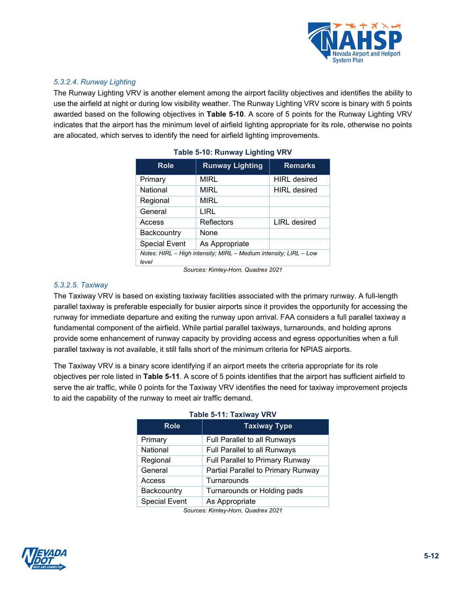

## *5.3.2.4. Runway Lighting*

<span id="page-11-0"></span>The Runway Lighting VRV is another element among the airport facility objectives and identifies the ability to use the airfield at night or during low visibility weather. The Runway Lighting VRV score is binary with 5 points awarded based on the following objectives in **[Table 5-10](#page-11-0)**. A score of 5 points for the Runway Lighting VRV indicates that the airport has the minimum level of airfield lighting appropriate for its role, otherwise no points are allocated, which serves to identify the need for airfield lighting improvements.

| <b>Role</b>                                                                | <b>Runway Lighting</b> | <b>Remarks</b>      |  |  |
|----------------------------------------------------------------------------|------------------------|---------------------|--|--|
| Primary                                                                    | <b>MIRL</b>            | <b>HIRL</b> desired |  |  |
| National                                                                   | MIRL                   | <b>HIRL</b> desired |  |  |
| Regional                                                                   | <b>MIRL</b>            |                     |  |  |
| General                                                                    | LIRL                   |                     |  |  |
| Access                                                                     | Reflectors             | <b>LIRL</b> desired |  |  |
| Backcountry                                                                | None                   |                     |  |  |
| <b>Special Event</b>                                                       | As Appropriate         |                     |  |  |
| Notes: HIRL - High intensity: MIRL - Medium intensity: LIRL - Low<br>level |                        |                     |  |  |

|  |  | Table 5-10: Runway Lighting VRV |  |
|--|--|---------------------------------|--|
|--|--|---------------------------------|--|

*Sources: Kimley-Horn, Quadrex 2021*

#### *5.3.2.5. Taxiway*

The Taxiway VRV is based on existing taxiway facilities associated with the primary runway. A full-length parallel taxiway is preferable especially for busier airports since it provides the opportunity for accessing the runway for immediate departure and exiting the runway upon arrival. FAA considers a full parallel taxiway a fundamental component of the airfield. While partial parallel taxiways, turnarounds, and holding aprons provide some enhancement of runway capacity by providing access and egress opportunities when a full parallel taxiway is not available, it still falls short of the minimum criteria for NPIAS airports.

<span id="page-11-1"></span>The Taxiway VRV is a binary score identifying if an airport meets the criteria appropriate for its role objectives per role listed in **[Table 5-11](#page-11-1)**. A score of 5 points identifies that the airport has sufficient airfield to serve the air traffic, while 0 points for the Taxiway VRV identifies the need for taxiway improvement projects to aid the capability of the runway to meet air traffic demand.

| <b>Role</b>          | <b>Taxiway Type</b>                |
|----------------------|------------------------------------|
| Primary              | Full Parallel to all Runways       |
| National             | Full Parallel to all Runways       |
| Regional             | Full Parallel to Primary Runway    |
| General              | Partial Parallel to Primary Runway |
| Access               | Turnarounds                        |
| Backcountry          | Turnarounds or Holding pads        |
| <b>Special Event</b> | As Appropriate                     |

#### **Table 5-11: Taxiway VRV**



*Sources: Kimley-Horn, Quadrex 2021*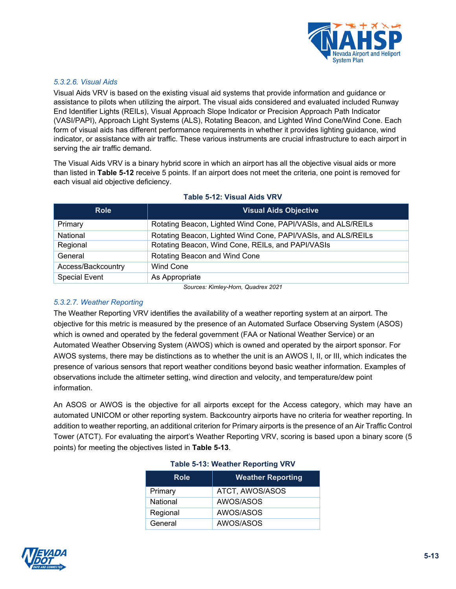

### *5.3.2.6. Visual Aids*

Visual Aids VRV is based on the existing visual aid systems that provide information and guidance or assistance to pilots when utilizing the airport. The visual aids considered and evaluated included Runway End Identifier Lights (REILs), Visual Approach Slope Indicator or Precision Approach Path Indicator (VASI/PAPI), Approach Light Systems (ALS), Rotating Beacon, and Lighted Wind Cone/Wind Cone. Each form of visual aids has different performance requirements in whether it provides lighting guidance, wind indicator, or assistance with air traffic. These various instruments are crucial infrastructure to each airport in serving the air traffic demand.

The Visual Aids VRV is a binary hybrid score in which an airport has all the objective visual aids or more than listed in **[Table 5-12](#page-12-0)** receive 5 points. If an airport does not meet the criteria, one point is removed for each visual aid objective deficiency.

| <b>Role</b>          | <b>Visual Aids Objective</b>                                  |  |
|----------------------|---------------------------------------------------------------|--|
| Primary              | Rotating Beacon, Lighted Wind Cone, PAPI/VASIs, and ALS/REILs |  |
| National             | Rotating Beacon, Lighted Wind Cone, PAPI/VASIs, and ALS/REILs |  |
| Regional             | Rotating Beacon, Wind Cone, REILs, and PAPI/VASIs             |  |
| General              | Rotating Beacon and Wind Cone                                 |  |
| Access/Backcountry   | Wind Cone                                                     |  |
| <b>Special Event</b> | As Appropriate                                                |  |

#### <span id="page-12-0"></span>**Table 5-12: Visual Aids VRV**

*Sources: Kimley-Horn, Quadrex 2021*

## *5.3.2.7. Weather Reporting*

The Weather Reporting VRV identifies the availability of a weather reporting system at an airport. The objective for this metric is measured by the presence of an Automated Surface Observing System (ASOS) which is owned and operated by the federal government (FAA or National Weather Service) or an Automated Weather Observing System (AWOS) which is owned and operated by the airport sponsor. For AWOS systems, there may be distinctions as to whether the unit is an AWOS I, II, or III, which indicates the presence of various sensors that report weather conditions beyond basic weather information. Examples of observations include the altimeter setting, wind direction and velocity, and temperature/dew point information.

<span id="page-12-1"></span>An ASOS or AWOS is the objective for all airports except for the Access category, which may have an automated UNICOM or other reporting system. Backcountry airports have no criteria for weather reporting. In addition to weather reporting, an additional criterion for Primary airports is the presence of an Air Traffic Control Tower (ATCT). For evaluating the airport's Weather Reporting VRV, scoring is based upon a binary score (5 points) for meeting the objectives listed in **[Table 5-13](#page-12-1)**.

| <b>Role</b> | <b>Weather Reporting</b> |
|-------------|--------------------------|
| Primary     | ATCT, AWOS/ASOS          |
| National    | AWOS/ASOS                |
| Regional    | AWOS/ASOS                |
| General     | AWOS/ASOS                |

#### **Table 5-13: Weather Reporting VRV**

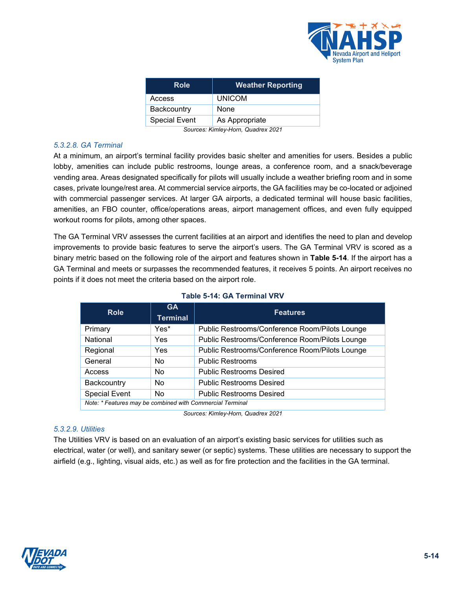

| <b>Role</b>          | <b>Weather Reporting</b> |
|----------------------|--------------------------|
| Access               | <b>UNICOM</b>            |
| Backcountry          | None                     |
| <b>Special Event</b> | As Appropriate           |
| -<br>.               | $\cdots$ $\cdots$        |

*Sources: Kimley-Horn, Quadrex 2021*

## *5.3.2.8. GA Terminal*

At a minimum, an airport's terminal facility provides basic shelter and amenities for users. Besides a public lobby, amenities can include public restrooms, lounge areas, a conference room, and a snack/beverage vending area. Areas designated specifically for pilots will usually include a weather briefing room and in some cases, private lounge/rest area. At commercial service airports, the GA facilities may be co-located or adjoined with commercial passenger services. At larger GA airports, a dedicated terminal will house basic facilities, amenities, an FBO counter, office/operations areas, airport management offices, and even fully equipped workout rooms for pilots, among other spaces.

The GA Terminal VRV assesses the current facilities at an airport and identifies the need to plan and develop improvements to provide basic features to serve the airport's users. The GA Terminal VRV is scored as a binary metric based on the following role of the airport and features shown in **[Table 5-14](#page-13-0)**. If the airport has a GA Terminal and meets or surpasses the recommended features, it receives 5 points. An airport receives no points if it does not meet the criteria based on the airport role.

<span id="page-13-0"></span>

| <b>Role</b>                                               | <b>GA</b><br><b>Terminal</b> | <b>Features</b>                                |
|-----------------------------------------------------------|------------------------------|------------------------------------------------|
| Primary                                                   | Yes*                         | Public Restrooms/Conference Room/Pilots Lounge |
| National                                                  | Yes                          | Public Restrooms/Conference Room/Pilots Lounge |
| Regional                                                  | Yes                          | Public Restrooms/Conference Room/Pilots Lounge |
| General                                                   | No.                          | <b>Public Restrooms</b>                        |
| Access                                                    | <b>No</b>                    | <b>Public Restrooms Desired</b>                |
| Backcountry                                               | <b>No</b>                    | <b>Public Restrooms Desired</b>                |
| <b>Special Event</b>                                      | <b>No</b>                    | <b>Public Restrooms Desired</b>                |
| Note: * Features may be combined with Commercial Terminal |                              |                                                |

#### **Table 5-14: GA Terminal VRV**

*Sources: Kimley-Horn, Quadrex 2021*

## *5.3.2.9. Utilities*

The Utilities VRV is based on an evaluation of an airport's existing basic services for utilities such as electrical, water (or well), and sanitary sewer (or septic) systems. These utilities are necessary to support the airfield (e.g., lighting, visual aids, etc.) as well as for fire protection and the facilities in the GA terminal.

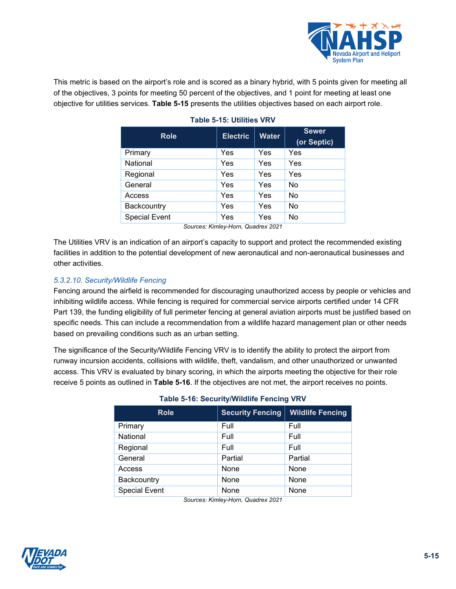

<span id="page-14-0"></span>This metric is based on the airport's role and is scored as a binary hybrid, with 5 points given for meeting all of the objectives, 3 points for meeting 50 percent of the objectives, and 1 point for meeting at least one objective for utilities services. **[Table 5-15](#page-14-0)** presents the utilities objectives based on each airport role.

| <b>Role</b>          | <b>Electric</b> | <b>Water</b> | <b>Sewer</b><br>(or Septic) |
|----------------------|-----------------|--------------|-----------------------------|
| Primary              | Yes             | Yes          | Yes                         |
| National             | Yes             | Yes          | Yes                         |
| Regional             | Yes             | Yes          | Yes                         |
| General              | Yes             | Yes          | No                          |
| Access               | Yes             | Yes          | No                          |
| Backcountry          | Yes             | Yes          | No                          |
| <b>Special Event</b> | Yes             | Yes          | No                          |

### **Table 5-15: Utilities VRV**

*Sources: Kimley-Horn, Quadrex 2021*

The Utilities VRV is an indication of an airport's capacity to support and protect the recommended existing facilities in addition to the potential development of new aeronautical and non-aeronautical businesses and other activities.

## *5.3.2.10. Security/Wildlife Fencing*

Fencing around the airfield is recommended for discouraging unauthorized access by people or vehicles and inhibiting wildlife access. While fencing is required for commercial service airports certified under 14 CFR Part 139, the funding eligibility of full perimeter fencing at general aviation airports must be justified based on specific needs. This can include a recommendation from a wildlife hazard management plan or other needs based on prevailing conditions such as an urban setting.

<span id="page-14-1"></span>The significance of the Security/Wildlife Fencing VRV is to identify the ability to protect the airport from runway incursion accidents, collisions with wildlife, theft, vandalism, and other unauthorized or unwanted access. This VRV is evaluated by binary scoring, in which the airports meeting the objective for their role receive 5 points as outlined in **[Table 5-16](#page-14-1)**. If the objectives are not met, the airport receives no points.

| <b>Role</b>          | <b>Security Fencing</b> | <b>Wildlife Fencing</b> |
|----------------------|-------------------------|-------------------------|
| Primary              | Full                    | Full                    |
| National             | Full                    | Full                    |
| Regional             | Full                    | Full                    |
| General              | Partial                 | Partial                 |
| Access               | None                    | None                    |
| Backcountry          | None                    | None                    |
| <b>Special Event</b> | None                    | None                    |

#### **Table 5-16: Security/Wildlife Fencing VRV**

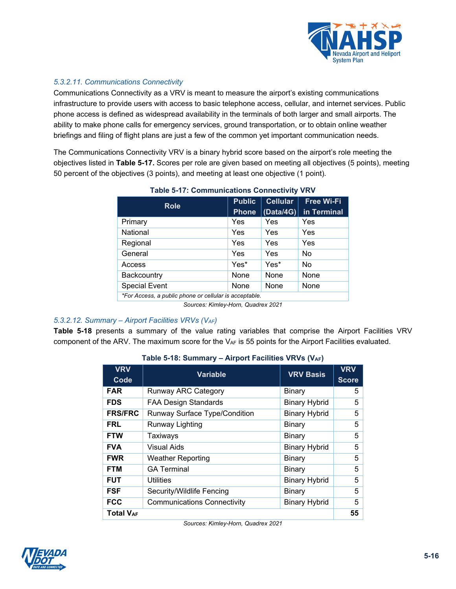

## *5.3.2.11. Communications Connectivity*

Communications Connectivity as a VRV is meant to measure the airport's existing communications infrastructure to provide users with access to basic telephone access, cellular, and internet services. Public phone access is defined as widespread availability in the terminals of both larger and small airports. The ability to make phone calls for emergency services, ground transportation, or to obtain online weather briefings and filing of flight plans are just a few of the common yet important communication needs.

<span id="page-15-0"></span>The Communications Connectivity VRV is a binary hybrid score based on the airport's role meeting the objectives listed in **[Table](#page-15-0) 5-17.** Scores per role are given based on meeting all objectives (5 points), meeting 50 percent of the objectives (3 points), and meeting at least one objective (1 point).

| <b>Role</b>                                            | <b>Public</b> | <b>Cellular</b> | <b>Free Wi-Fi</b> |
|--------------------------------------------------------|---------------|-----------------|-------------------|
|                                                        | <b>Phone</b>  | (Data/4G)       | in Terminal       |
| Primary                                                | Yes           | Yes             | Yes               |
| National                                               | Yes           | Yes             | Yes               |
| Regional                                               | Yes           | Yes             | Yes               |
| General                                                | Yes           | Yes             | No                |
| Access                                                 | Yes*          | Yes*            | No                |
| Backcountry                                            | None          | None            | None              |
| <b>Special Event</b>                                   | None          | None            | None              |
| *For Access, a public phone or cellular is acceptable. |               |                 |                   |

## **Table 5-17: Communications Connectivity VRV**

*Sources: Kimley-Horn, Quadrex 2021*

#### *5.3.2.12. Summary – Airport Facilities VRVs (VAF)*

<span id="page-15-1"></span>**[Table 5-18](#page-15-1)** presents a summary of the value rating variables that comprise the Airport Facilities VRV component of the ARV. The maximum score for the  $V_{AF}$  is 55 points for the Airport Facilities evaluated.

| <b>VRV</b><br>Code | <b>Variable</b>                      | <b>VRV Basis</b>     | <b>VRV</b><br><b>Score</b> |
|--------------------|--------------------------------------|----------------------|----------------------------|
| <b>FAR</b>         | <b>Runway ARC Category</b>           | Binary               | 5                          |
| <b>FDS</b>         | <b>FAA Design Standards</b>          | <b>Binary Hybrid</b> | 5                          |
| <b>FRS/FRC</b>     | <b>Runway Surface Type/Condition</b> | <b>Binary Hybrid</b> | 5                          |
| <b>FRL</b>         | Runway Lighting                      | Binary               | 5                          |
| <b>FTW</b>         | Taxiways                             | <b>Binary</b>        | 5                          |
| <b>FVA</b>         | Visual Aids                          | <b>Binary Hybrid</b> | 5                          |
| <b>FWR</b>         | <b>Weather Reporting</b>             | <b>Binary</b>        | 5                          |
| <b>FTM</b>         | <b>GA Terminal</b>                   | <b>Binary</b>        | 5                          |
| <b>FUT</b>         | <b>Utilities</b>                     | <b>Binary Hybrid</b> | 5                          |
| <b>FSF</b>         | Security/Wildlife Fencing            | Binary               | 5                          |
| <b>FCC</b>         | <b>Communications Connectivity</b>   | <b>Binary Hybrid</b> | 5                          |
| <b>Total VAF</b>   |                                      |                      | 55                         |

## **Table 5-18: Summary – Airport Facilities VRVs (VAF)**

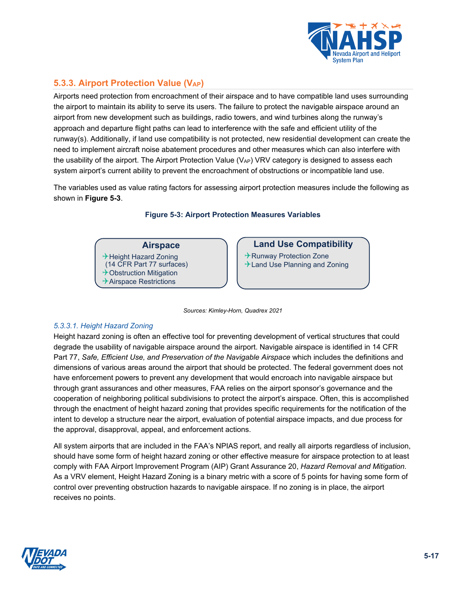

## **5.3.3. Airport Protection Value (VAP)**

Airports need protection from encroachment of their airspace and to have compatible land uses surrounding the airport to maintain its ability to serve its users. The failure to protect the navigable airspace around an airport from new development such as buildings, radio towers, and wind turbines along the runway's approach and departure flight paths can lead to interference with the safe and efficient utility of the runway(s). Additionally, if land use compatibility is not protected, new residential development can create the need to implement aircraft noise abatement procedures and other measures which can also interfere with the usability of the airport. The Airport Protection Value (VAP) VRV category is designed to assess each system airport's current ability to prevent the encroachment of obstructions or incompatible land use.

<span id="page-16-0"></span>The variables used as value rating factors for assessing airport protection measures include the following as shown in **[Figure 5-3](#page-16-0)**.

**Figure 5-3: Airport Protection Measures Variables**

### **Airspace**

→ Height Hazard Zoning (14 CFR Part 77 surfaces)  $\rightarrow$  Obstruction Mitigation  $\rightarrow$  Airspace Restrictions

## **Land Use Compatibility**

 $\rightarrow$  Runway Protection Zone  $\rightarrow$  Land Use Planning and Zoning

*Sources: Kimley-Horn, Quadrex 2021*

#### *5.3.3.1. Height Hazard Zoning*

Height hazard zoning is often an effective tool for preventing development of vertical structures that could degrade the usability of navigable airspace around the airport. Navigable airspace is identified in 14 CFR Part 77, *Safe, Efficient Use, and Preservation of the Navigable Airspace* which includes the definitions and dimensions of various areas around the airport that should be protected. The federal government does not have enforcement powers to prevent any development that would encroach into navigable airspace but through grant assurances and other measures, FAA relies on the airport sponsor's governance and the cooperation of neighboring political subdivisions to protect the airport's airspace. Often, this is accomplished through the enactment of height hazard zoning that provides specific requirements for the notification of the intent to develop a structure near the airport, evaluation of potential airspace impacts, and due process for the approval, disapproval, appeal, and enforcement actions.

All system airports that are included in the FAA's NPIAS report, and really all airports regardless of inclusion, should have some form of height hazard zoning or other effective measure for airspace protection to at least comply with FAA Airport Improvement Program (AIP) Grant Assurance 20, *Hazard Removal and Mitigation.* As a VRV element, Height Hazard Zoning is a binary metric with a score of 5 points for having some form of control over preventing obstruction hazards to navigable airspace. If no zoning is in place, the airport receives no points.

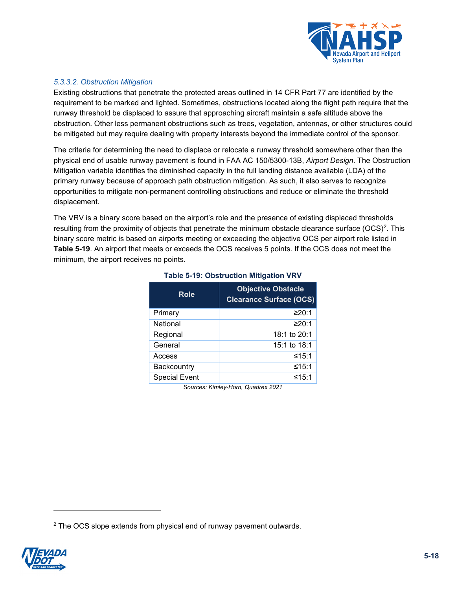

## *5.3.3.2. Obstruction Mitigation*

Existing obstructions that penetrate the protected areas outlined in 14 CFR Part 77 are identified by the requirement to be marked and lighted. Sometimes, obstructions located along the flight path require that the runway threshold be displaced to assure that approaching aircraft maintain a safe altitude above the obstruction. Other less permanent obstructions such as trees, vegetation, antennas, or other structures could be mitigated but may require dealing with property interests beyond the immediate control of the sponsor.

The criteria for determining the need to displace or relocate a runway threshold somewhere other than the physical end of usable runway pavement is found in FAA AC 150/5300-13B, *Airport Design*. The Obstruction Mitigation variable identifies the diminished capacity in the full landing distance available (LDA) of the primary runway because of approach path obstruction mitigation. As such, it also serves to recognize opportunities to mitigate non-permanent controlling obstructions and reduce or eliminate the threshold displacement.

<span id="page-17-0"></span>The VRV is a binary score based on the airport's role and the presence of existing displaced thresholds resulting from the proximity of objects that penetrate the minimum obstacle clearance surface (OCS)<sup>[2](#page-17-1)</sup>. This binary score metric is based on airports meeting or exceeding the objective OCS per airport role listed in **[Table 5-19](#page-17-0)**. An airport that meets or exceeds the OCS receives 5 points. If the OCS does not meet the minimum, the airport receives no points.

| <b>Role</b>                        | <b>Objective Obstacle</b><br><b>Clearance Surface (OCS)</b> |  |
|------------------------------------|-------------------------------------------------------------|--|
| Primary                            | ≥20:1                                                       |  |
| National                           | ≥20:1                                                       |  |
| Regional                           | 18:1 to 20:1                                                |  |
| General                            | 15:1 to 18:1                                                |  |
| Access                             | ≤15:1                                                       |  |
| Backcountry                        | ≤15:1                                                       |  |
| <b>Special Event</b>               | ≤15:1                                                       |  |
| Courses Kinsley Llowe Quadrey 0004 |                                                             |  |

## **Table 5-19: Obstruction Mitigation VRV**

<span id="page-17-1"></span><sup>&</sup>lt;sup>2</sup> The OCS slope extends from physical end of runway pavement outwards.

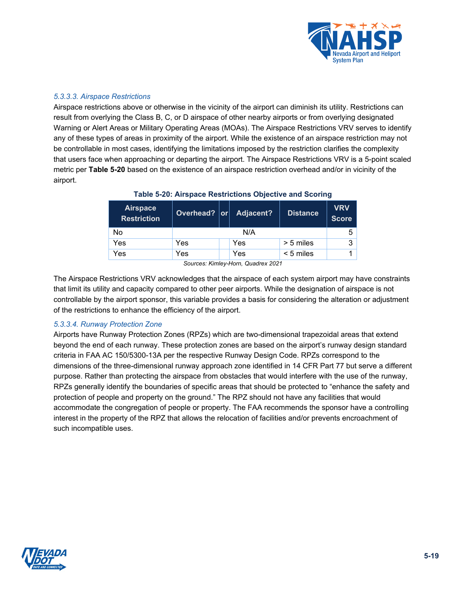

#### *5.3.3.3. Airspace Restrictions*

Airspace restrictions above or otherwise in the vicinity of the airport can diminish its utility. Restrictions can result from overlying the Class B, C, or D airspace of other nearby airports or from overlying designated Warning or Alert Areas or Military Operating Areas (MOAs). The Airspace Restrictions VRV serves to identify any of these types of areas in proximity of the airport. While the existence of an airspace restriction may not be controllable in most cases, identifying the limitations imposed by the restriction clarifies the complexity that users face when approaching or departing the airport. The Airspace Restrictions VRV is a 5-point scaled metric per **[Table 5-20](#page-18-0)** based on the existence of an airspace restriction overhead and/or in vicinity of the airport.

<span id="page-18-0"></span>

| <b>Airspace</b><br><b>Restriction</b> | Overhead?   or |  | <b>Adjacent?</b> | <b>Distance</b> | <b>VRV</b><br><b>Score</b> |
|---------------------------------------|----------------|--|------------------|-----------------|----------------------------|
| No                                    | N/A            |  |                  | 5               |                            |
| Yes                                   | Yes            |  | Yes              | $> 5$ miles     | 3                          |
| Yes                                   | Yes            |  | Yes              | $< 5$ miles     |                            |

## **Table 5-20: Airspace Restrictions Objective and Scoring**

*Sources: Kimley-Horn, Quadrex 2021*

The Airspace Restrictions VRV acknowledges that the airspace of each system airport may have constraints that limit its utility and capacity compared to other peer airports. While the designation of airspace is not controllable by the airport sponsor, this variable provides a basis for considering the alteration or adjustment of the restrictions to enhance the efficiency of the airport.

#### *5.3.3.4. Runway Protection Zone*

Airports have Runway Protection Zones (RPZs) which are two-dimensional trapezoidal areas that extend beyond the end of each runway. These protection zones are based on the airport's runway design standard criteria in FAA AC 150/5300-13A per the respective Runway Design Code. RPZs correspond to the dimensions of the three-dimensional runway approach zone identified in 14 CFR Part 77 but serve a different purpose. Rather than protecting the airspace from obstacles that would interfere with the use of the runway, RPZs generally identify the boundaries of specific areas that should be protected to "enhance the safety and protection of people and property on the ground." The RPZ should not have any facilities that would accommodate the congregation of people or property. The FAA recommends the sponsor have a controlling interest in the property of the RPZ that allows the relocation of facilities and/or prevents encroachment of such incompatible uses.

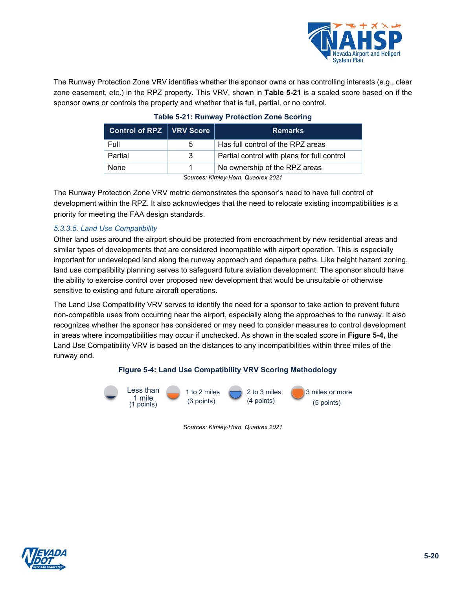

<span id="page-19-0"></span>The Runway Protection Zone VRV identifies whether the sponsor owns or has controlling interests (e.g., clear zone easement, etc.) in the RPZ property. This VRV, shown in **[Table](#page-19-0) 5-21** is a scaled score based on if the sponsor owns or controls the property and whether that is full, partial, or no control.

| Control of RPZ   VRV Score         |   | <b>Remarks</b>                              |  |
|------------------------------------|---|---------------------------------------------|--|
| Full                               | 5 | Has full control of the RPZ areas           |  |
| Partial                            | 3 | Partial control with plans for full control |  |
| None                               |   | No ownership of the RPZ areas               |  |
| Courage: Kimley Harn, Ouadray 2021 |   |                                             |  |

## **Table 5-21: Runway Protection Zone Scoring**

*Sources: Kimley-Horn, Quadrex 2021*

The Runway Protection Zone VRV metric demonstrates the sponsor's need to have full control of development within the RPZ. It also acknowledges that the need to relocate existing incompatibilities is a priority for meeting the FAA design standards.

## *5.3.3.5. Land Use Compatibility*

Other land uses around the airport should be protected from encroachment by new residential areas and similar types of developments that are considered incompatible with airport operation. This is especially important for undeveloped land along the runway approach and departure paths. Like height hazard zoning, land use compatibility planning serves to safeguard future aviation development. The sponsor should have the ability to exercise control over proposed new development that would be unsuitable or otherwise sensitive to existing and future aircraft operations.

The Land Use Compatibility VRV serves to identify the need for a sponsor to take action to prevent future non-compatible uses from occurring near the airport, especially along the approaches to the runway. It also recognizes whether the sponsor has considered or may need to consider measures to control development in areas where incompatibilities may occur if unchecked. As shown in the scaled score in **[Figure 5-4,](#page-19-1)** the Land Use Compatibility VRV is based on the distances to any incompatibilities within three miles of the runway end.

#### **Figure 5-4: Land Use Compatibility VRV Scoring Methodology**

<span id="page-19-1"></span>

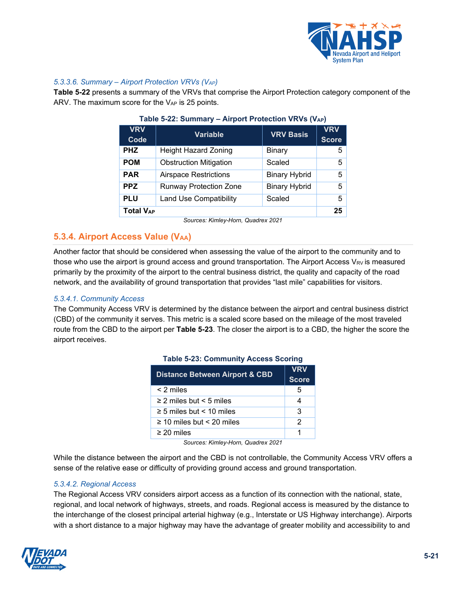

## *5.3.3.6. Summary – Airport Protection VRVs (VAP[\)](#page-20-0)*

**[Table 5-22](#page-20-0)** presents a summary of the VRVs that comprise the Airport Protection category component of the ARV. The maximum score for the  $V_{AP}$  is 25 points.

| <b>VRV</b><br>Code | <b>Variable</b>               | <b>VRV Basis</b>     | <b>VRV</b><br><b>Score</b> |
|--------------------|-------------------------------|----------------------|----------------------------|
| <b>PHZ</b>         | <b>Height Hazard Zoning</b>   | <b>Binary</b>        | 5                          |
| <b>POM</b>         | <b>Obstruction Mitigation</b> | Scaled               | 5                          |
| <b>PAR</b>         | <b>Airspace Restrictions</b>  | <b>Binary Hybrid</b> | 5                          |
| <b>PPZ</b>         | <b>Runway Protection Zone</b> | <b>Binary Hybrid</b> | 5                          |
| <b>PLU</b>         | <b>Land Use Compatibility</b> | Scaled               | 5                          |
| <b>Total VAP</b>   |                               |                      | 25                         |

<span id="page-20-0"></span>

| Table 5-22: Summary - Airport Protection VRVs (VAP) |  |  |  |
|-----------------------------------------------------|--|--|--|
|-----------------------------------------------------|--|--|--|

*Sources: Kimley-Horn, Quadrex 2021*

## **5.3.4. Airport Access Value (VAA)**

Another factor that should be considered when assessing the value of the airport to the community and to those who use the airport is ground access and ground transportation. The Airport Access  $V_{\mathsf{RV}}$  is measured primarily by the proximity of the airport to the central business district, the quality and capacity of the road network, and the availability of ground transportation that provides "last mile" capabilities for visitors.

#### *5.3.4.1. Community Access*

<span id="page-20-1"></span>The Community Access VRV is determined by the distance between the airport and central business district (CBD) of the community it serves. This metric is a scaled score based on the mileage of the most traveled route from the CBD to the airport per **[Table 5-23](#page-20-1)**. The closer the airport is to a CBD, the higher the score the airport receives.

| <b>Distance Between Airport &amp; CBD</b> | <b>VRV</b>   |
|-------------------------------------------|--------------|
|                                           | <b>Score</b> |
| $< 2$ miles                               | 5            |
| $\geq$ 2 miles but < 5 miles              |              |
| $\geq$ 5 miles but < 10 miles             | 3            |
| $\geq$ 10 miles but < 20 miles            | 2            |
| $\geq$ 20 miles                           |              |

#### **Table 5-23: Community Access Scoring**

*Sources: Kimley-Horn, Quadrex 2021*

While the distance between the airport and the CBD is not controllable, the Community Access VRV offers a sense of the relative ease or difficulty of providing ground access and ground transportation.

#### *5.3.4.2. Regional Access*

The Regional Access VRV considers airport access as a function of its connection with the national, state, regional, and local network of highways, streets, and roads. Regional access is measured by the distance to the interchange of the closest principal arterial highway (e.g., Interstate or US Highway interchange). Airports with a short distance to a major highway may have the advantage of greater mobility and accessibility to and

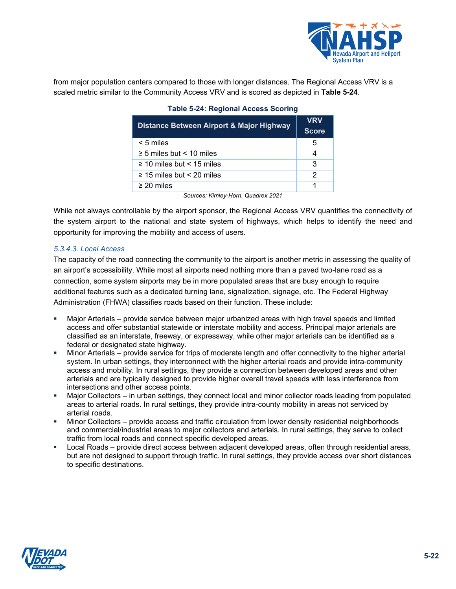

<span id="page-21-0"></span>from major population centers compared to those with longer distances. The Regional Access VRV is a scaled metric similar to the Community Access VRV and is scored as depicted in **[Table 5-24](#page-21-0)**.

| Distance Between Airport & Major Highway | <b>VRV</b><br><b>Score</b> |
|------------------------------------------|----------------------------|
| $< 5$ miles                              | 5                          |
| $\geq$ 5 miles but < 10 miles            |                            |
| $\geq$ 10 miles but < 15 miles           | 3                          |
| $\geq$ 15 miles but < 20 miles           | 2                          |
| $\geq$ 20 miles                          |                            |
| Sources: Kimley-Horn Ouadrey 2021        |                            |

#### **Table 5-24: Regional Access Scoring**

*Sources: Kimley-Horn, Quadrex 2021*

While not always controllable by the airport sponsor, the Regional Access VRV quantifies the connectivity of the system airport to the national and state system of highways, which helps to identify the need and opportunity for improving the mobility and access of users.

#### *5.3.4.3. Local Access*

The capacity of the road connecting the community to the airport is another metric in assessing the quality of an airport's accessibility. While most all airports need nothing more than a paved two-lane road as a connection, some system airports may be in more populated areas that are busy enough to require additional features such as a dedicated turning lane, signalization, signage, etc. The Federal Highway Administration (FHWA) classifies roads based on their function. These include:

- Major Arterials provide service between major urbanized areas with high travel speeds and limited access and offer substantial statewide or interstate mobility and access. Principal major arterials are classified as an interstate, freeway, or expressway, while other major arterials can be identified as a federal or designated state highway.
- Minor Arterials provide service for trips of moderate length and offer connectivity to the higher arterial system. In urban settings, they interconnect with the higher arterial roads and provide intra-community access and mobility. In rural settings, they provide a connection between developed areas and other arterials and are typically designed to provide higher overall travel speeds with less interference from intersections and other access points.
- Major Collectors in urban settings, they connect local and minor collector roads leading from populated areas to arterial roads. In rural settings, they provide intra-county mobility in areas not serviced by arterial roads.
- Minor Collectors provide access and traffic circulation from lower density residential neighborhoods and commercial/industrial areas to major collectors and arterials. In rural settings, they serve to collect traffic from local roads and connect specific developed areas.
- Local Roads provide direct access between adjacent developed areas, often through residential areas, but are not designed to support through traffic. In rural settings, they provide access over short distances to specific destinations.

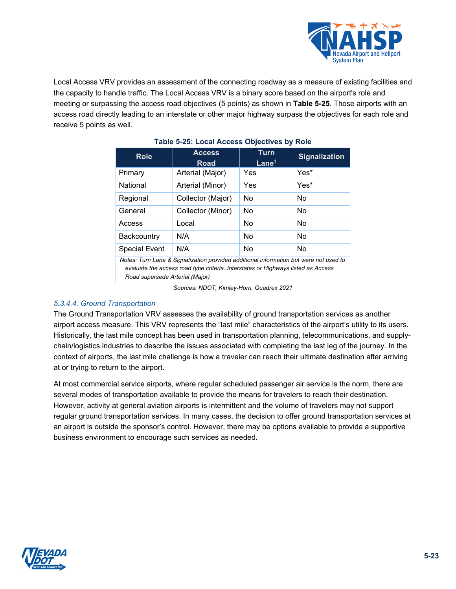

<span id="page-22-0"></span>Local Access VRV provides an assessment of the connecting roadway as a measure of existing facilities and the capacity to handle traffic. The Local Access VRV is a binary score based on the airport's role and meeting or surpassing the access road objectives (5 points) as shown in **[Table 5-25](#page-22-0)**. Those airports with an access road directly leading to an interstate or other major highway surpass the objectives for each role and receive 5 points as well.

| <b>Role</b>                                                                                                                                                               | <b>Access</b><br><b>Road</b> | <b>Turn</b><br>Lane <sup>1</sup> | <b>Signalization</b> |
|---------------------------------------------------------------------------------------------------------------------------------------------------------------------------|------------------------------|----------------------------------|----------------------|
| Primary                                                                                                                                                                   | Arterial (Major)             | Yes                              | Yes*                 |
| National                                                                                                                                                                  | Arterial (Minor)             | Yes                              | Yes*                 |
| Regional                                                                                                                                                                  | Collector (Major)            | No                               | No                   |
| General                                                                                                                                                                   | Collector (Minor)            | No                               | No                   |
| Access                                                                                                                                                                    | Local                        | No                               | No                   |
| <b>Backcountry</b>                                                                                                                                                        | N/A                          | No                               | No                   |
| <b>Special Event</b>                                                                                                                                                      | N/A                          | No                               | No                   |
| Notes: Turn Lane & Signalization provided additional information but were not used to<br>evaluate the access road type criteria. Interstates or Highways listed as Access |                              |                                  |                      |

## **Table 5-25: Local Access Objectives by Role**

*Sources: NDOT, Kimley-Horn, Quadrex 2021*

*Road supersede Arterial (Major)*

## *5.3.4.4. Ground Transportation*

The Ground Transportation VRV assesses the availability of ground transportation services as another airport access measure. This VRV represents the "last mile" characteristics of the airport's utility to its users. Historically, the last mile concept has been used in transportation planning, telecommunications, and supplychain/logistics industries to describe the issues associated with completing the last leg of the journey. In the context of airports, the last mile challenge is how a traveler can reach their ultimate destination after arriving at or trying to return to the airport.

At most commercial service airports, where regular scheduled passenger air service is the norm, there are several modes of transportation available to provide the means for travelers to reach their destination. However, activity at general aviation airports is intermittent and the volume of travelers may not support regular ground transportation services. In many cases, the decision to offer ground transportation services at an airport is outside the sponsor's control. However, there may be options available to provide a supportive business environment to encourage such services as needed.

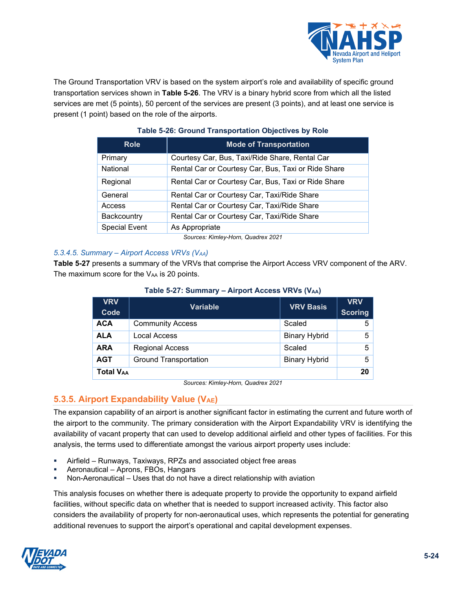

The Ground Transportation VRV is based on the system airport's role and availability of specific ground transportation services shown in **[Table 5-26](#page-23-0)**. The VRV is a binary hybrid score from which all the listed services are met (5 points), 50 percent of the services are present (3 points), and at least one service is present (1 point) based on the role of the airports.

<span id="page-23-0"></span>

| <b>Role</b>          | <b>Mode of Transportation</b>                       |
|----------------------|-----------------------------------------------------|
| Primary              | Courtesy Car, Bus, Taxi/Ride Share, Rental Car      |
| National             | Rental Car or Courtesy Car, Bus, Taxi or Ride Share |
| Regional             | Rental Car or Courtesy Car, Bus, Taxi or Ride Share |
| General              | Rental Car or Courtesy Car, Taxi/Ride Share         |
| Access               | Rental Car or Courtesy Car, Taxi/Ride Share         |
| Backcountry          | Rental Car or Courtesy Car, Taxi/Ride Share         |
| <b>Special Event</b> | As Appropriate                                      |

## **Table 5-26: Ground Transportation Objectives by Role**

*Sources: Kimley-Horn, Quadrex 2021*

## *5.3.4.5. Summary – Airport Access VRVs (VAA)*

<span id="page-23-1"></span>**[Table 5-27](#page-23-1)** presents a summary of the VRVs that comprise the Airport Access VRV component of the ARV. The maximum score for the VAA is 20 points.

| <b>VRV</b><br>Code | <b>Variable</b>              | <b>VRV Basis</b>     | <b>VRV</b><br><b>Scoring</b> |
|--------------------|------------------------------|----------------------|------------------------------|
| <b>ACA</b>         | <b>Community Access</b>      | Scaled               | 5.                           |
| <b>ALA</b>         | Local Access                 | <b>Binary Hybrid</b> | 5                            |
| <b>ARA</b>         | <b>Regional Access</b>       | Scaled               | 5                            |
| <b>AGT</b>         | <b>Ground Transportation</b> | <b>Binary Hybrid</b> | 5                            |
| <b>Total VAA</b>   |                              |                      | 20                           |

## **Table 5-27: Summary – Airport Access VRVs (VAA)**

*Sources: Kimley-Horn, Quadrex 2021*

## **5.3.5. Airport Expandability Value (VAE)**

The expansion capability of an airport is another significant factor in estimating the current and future worth of the airport to the community. The primary consideration with the Airport Expandability VRV is identifying the availability of vacant property that can used to develop additional airfield and other types of facilities. For this analysis, the terms used to differentiate amongst the various airport property uses include:

- Airfield Runways, Taxiways, RPZs and associated object free areas
- Aeronautical Aprons, FBOs, Hangars
- Non-Aeronautical Uses that do not have a direct relationship with aviation

This analysis focuses on whether there is adequate property to provide the opportunity to expand airfield facilities, without specific data on whether that is needed to support increased activity. This factor also considers the availability of property for non-aeronautical uses, which represents the potential for generating additional revenues to support the airport's operational and capital development expenses.

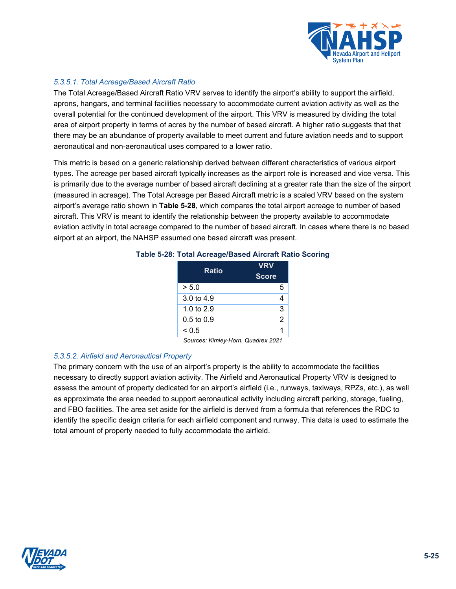

## *5.3.5.1. Total Acreage/Based Aircraft Ratio*

The Total Acreage/Based Aircraft Ratio VRV serves to identify the airport's ability to support the airfield, aprons, hangars, and terminal facilities necessary to accommodate current aviation activity as well as the overall potential for the continued development of the airport. This VRV is measured by dividing the total area of airport property in terms of acres by the number of based aircraft. A higher ratio suggests that that there may be an abundance of property available to meet current and future aviation needs and to support aeronautical and non-aeronautical uses compared to a lower ratio.

This metric is based on a generic relationship derived between different characteristics of various airport types. The acreage per based aircraft typically increases as the airport role is increased and vice versa. This is primarily due to the average number of based aircraft declining at a greater rate than the size of the airport (measured in acreage). The Total Acreage per Based Aircraft metric is a scaled VRV based on the system airport's average ratio shown in **[Table 5-28](#page-24-0)**, which compares the total airport acreage to number of based aircraft. This VRV is meant to identify the relationship between the property available to accommodate aviation activity in total acreage compared to the number of based aircraft. In cases where there is no based airport at an airport, the NAHSP assumed one based aircraft was present.

| <b>Ratio</b>          | <b>VRV</b><br><b>Score</b> |
|-----------------------|----------------------------|
| > 5.0                 | 5                          |
| 3.0 to 4.9            |                            |
| 1.0 to 2.9            | 3                          |
| $0.5 \text{ to } 0.9$ | 2                          |
| < 0.5                 |                            |

#### <span id="page-24-0"></span>**Table 5-28: Total Acreage/Based Aircraft Ratio Scoring**

*Sources: Kimley-Horn, Quadrex 2021*

#### *5.3.5.2. Airfield and Aeronautical Property*

The primary concern with the use of an airport's property is the ability to accommodate the facilities necessary to directly support aviation activity. The Airfield and Aeronautical Property VRV is designed to assess the amount of property dedicated for an airport's airfield (i.e., runways, taxiways, RPZs, etc.), as well as approximate the area needed to support aeronautical activity including aircraft parking, storage, fueling, and FBO facilities. The area set aside for the airfield is derived from a formula that references the RDC to identify the specific design criteria for each airfield component and runway. This data is used to estimate the total amount of property needed to fully accommodate the airfield.

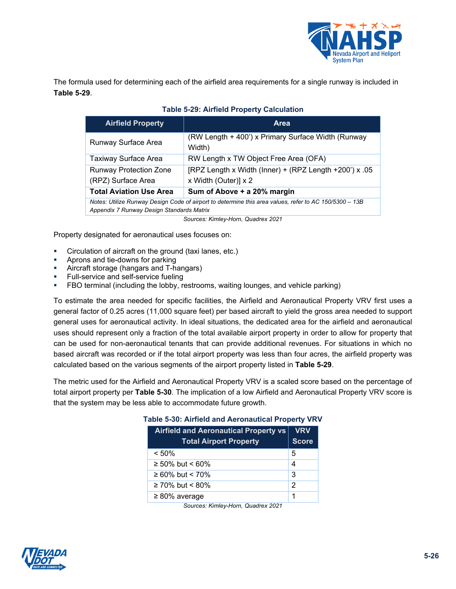

<span id="page-25-0"></span>The formula used for determining each of the airfield area requirements for a single runway is included in **[Table 5-29](#page-25-0)**.

| <b>Airfield Property</b>                                                                               | <b>Area</b>                                                  |  |
|--------------------------------------------------------------------------------------------------------|--------------------------------------------------------------|--|
| Runway Surface Area                                                                                    | (RW Length + 400') x Primary Surface Width (Runway<br>Width) |  |
| Taxiway Surface Area                                                                                   | RW Length x TW Object Free Area (OFA)                        |  |
| <b>Runway Protection Zone</b>                                                                          | [RPZ Length x Width (Inner) + (RPZ Length $+200$ ) x .05     |  |
| (RPZ) Surface Area                                                                                     | x Width (Outer)] x 2                                         |  |
| <b>Total Aviation Use Area</b>                                                                         | Sum of Above + a 20% margin                                  |  |
| Notes: Utilize Runway Design Code of airport to determine this area values, refer to AC 150/5300 - 13B |                                                              |  |
| Appendix 7 Runway Design Standards Matrix                                                              |                                                              |  |

#### **Table 5-29: Airfield Property Calculation**

*Sources: Kimley-Horn, Quadrex 2021*

Property designated for aeronautical uses focuses on:

- Circulation of aircraft on the ground (taxi lanes, etc.)
- Aprons and tie-downs for parking
- Aircraft storage (hangars and T-hangars)
- Full-service and self-service fueling
- FBO terminal (including the lobby, restrooms, waiting lounges, and vehicle parking)

To estimate the area needed for specific facilities, the Airfield and Aeronautical Property VRV first uses a general factor of 0.25 acres (11,000 square feet) per based aircraft to yield the gross area needed to support general uses for aeronautical activity. In ideal situations, the dedicated area for the airfield and aeronautical uses should represent only a fraction of the total available airport property in order to allow for property that can be used for non-aeronautical tenants that can provide additional revenues. For situations in which no based aircraft was recorded or if the total airport property was less than four acres, the airfield property was calculated based on the various segments of the airport property listed in **[Table 5-29](#page-25-0)**.

<span id="page-25-1"></span>The metric used for the Airfield and Aeronautical Property VRV is a scaled score based on the percentage of total airport property per **[Table 5-30](#page-25-1)**. The implication of a low Airfield and Aeronautical Property VRV score is that the system may be less able to accommodate future growth.

| <b>Airfield and Aeronautical Property vs</b> | <b>VRV</b>   |
|----------------------------------------------|--------------|
| <b>Total Airport Property</b>                | <b>Score</b> |
| $< 50\%$                                     | 5            |
| ≥ 50% but < 60%                              | 4            |
| ≥ 60% but < 70%                              | 3            |
| $\geq$ 70% but < 80%                         | 2            |
| $\geq 80\%$ average                          | 1            |

#### **Table 5-30: Airfield and Aeronautical Property VRV**

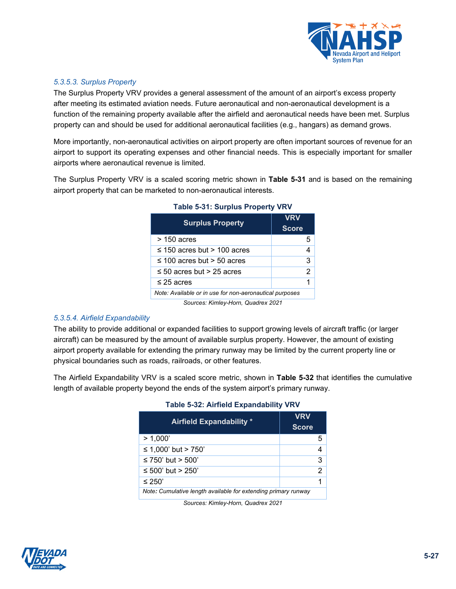

## *5.3.5.3. Surplus Property*

The Surplus Property VRV provides a general assessment of the amount of an airport's excess property after meeting its estimated aviation needs. Future aeronautical and non-aeronautical development is a function of the remaining property available after the airfield and aeronautical needs have been met. Surplus property can and should be used for additional aeronautical facilities (e.g., hangars) as demand grows.

More importantly, non-aeronautical activities on airport property are often important sources of revenue for an airport to support its operating expenses and other financial needs. This is especially important for smaller airports where aeronautical revenue is limited.

<span id="page-26-0"></span>The Surplus Property VRV is a scaled scoring metric shown in **[Table 5-31](#page-26-0)** and is based on the remaining airport property that can be marketed to non-aeronautical interests.

| <b>Surplus Property</b>                                 | <b>VRV</b><br><b>Score</b> |
|---------------------------------------------------------|----------------------------|
| $>$ 150 acres                                           | 5                          |
| $\leq$ 150 acres but > 100 acres                        | 4                          |
| $\leq$ 100 acres but > 50 acres                         | 3                          |
| $\leq$ 50 acres but > 25 acres                          | 2                          |
| $\leq$ 25 acres                                         | 1                          |
| Note: Available or in use for non-aeronautical purposes |                            |
| Sources: Kimley-Horn, Quadrex 2021                      |                            |

#### **Table 5-31: Surplus Property VRV**

#### *5.3.5.4. Airfield Expandability*

The ability to provide additional or expanded facilities to support growing levels of aircraft traffic (or larger aircraft) can be measured by the amount of available surplus property. However, the amount of existing airport property available for extending the primary runway may be limited by the current property line or physical boundaries such as roads, railroads, or other features.

The Airfield Expandability VRV is a scaled score metric, shown in **Table 5-32** that identifies the cumulative length of available property beyond the ends of the system airport's primary runway.

| <b>Airfield Expandability *</b>                                | VRV<br><b>Score</b> |  |
|----------------------------------------------------------------|---------------------|--|
| > 1.000'                                                       | 5                   |  |
| ≤ 1,000' but > 750'                                            |                     |  |
| ≤ 750' but > 500'                                              | 3                   |  |
| ≤ 500' but > 250'                                              | 2                   |  |
| ≤ 250'                                                         |                     |  |
| Note: Cumulative length available for extending primary runway |                     |  |

#### **Table 5-32: Airfield Expandability VRV**



*Sources: Kimley-Horn, Quadrex 2021*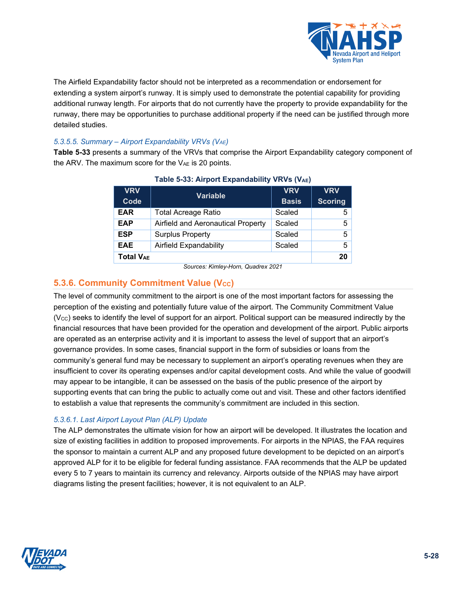

The Airfield Expandability factor should not be interpreted as a recommendation or endorsement for extending a system airport's runway. It is simply used to demonstrate the potential capability for providing additional runway length. For airports that do not currently have the property to provide expandability for the runway, there may be opportunities to purchase additional property if the need can be justified through more detailed studies.

## *5.3.5.5. Summary – Airport Expandability VRVs (VAE)*

<span id="page-27-1"></span>**[Table 5-33](#page-27-1)** presents a summary of the VRVs that comprise the Airport Expandability category component of the ARV. The maximum score for the  $V_{AE}$  is 20 points.

| <b>VRV</b>            | <b>Variable</b>                    | <b>VRV</b>   | <b>VRV</b>     |
|-----------------------|------------------------------------|--------------|----------------|
| Code                  |                                    | <b>Basis</b> | <b>Scoring</b> |
| <b>EAR</b>            | <b>Total Acreage Ratio</b>         | Scaled       | 5              |
| <b>EAP</b>            | Airfield and Aeronautical Property | Scaled       | 5              |
| <b>ESP</b>            | <b>Surplus Property</b>            | Scaled       | 5              |
| <b>EAE</b>            | Airfield Expandability             | Scaled       | 5              |
| Total V <sub>AE</sub> | 20                                 |              |                |

## **Table 5-33: Airport Expandability VRVs (VAE)**

*Sources: Kimley-Horn, Quadrex 2021*

## <span id="page-27-0"></span>**5.3.6. Community Commitment Value (Vcc)**

The level of community commitment to the airport is one of the most important factors for assessing the perception of the existing and potentially future value of the airport. The Community Commitment Value  $(V_{\text{CC}})$  seeks to identify the level of support for an airport. Political support can be measured indirectly by the financial resources that have been provided for the operation and development of the airport. Public airports are operated as an enterprise activity and it is important to assess the level of support that an airport's governance provides. In some cases, financial support in the form of subsidies or loans from the community's general fund may be necessary to supplement an airport's operating revenues when they are insufficient to cover its operating expenses and/or capital development costs. And while the value of goodwill may appear to be intangible, it can be assessed on the basis of the public presence of the airport by supporting events that can bring the public to actually come out and visit. These and other factors identified to establish a value that represents the community's commitment are included in this section.

## *5.3.6.1. Last Airport Layout Plan (ALP) Update*

The ALP demonstrates the ultimate vision for how an airport will be developed. It illustrates the location and size of existing facilities in addition to proposed improvements. For airports in the NPIAS, the FAA requires the sponsor to maintain a current ALP and any proposed future development to be depicted on an airport's approved ALP for it to be eligible for federal funding assistance. FAA recommends that the ALP be updated every 5 to 7 years to maintain its currency and relevancy. Airports outside of the NPIAS may have airport diagrams listing the present facilities; however, it is not equivalent to an ALP.

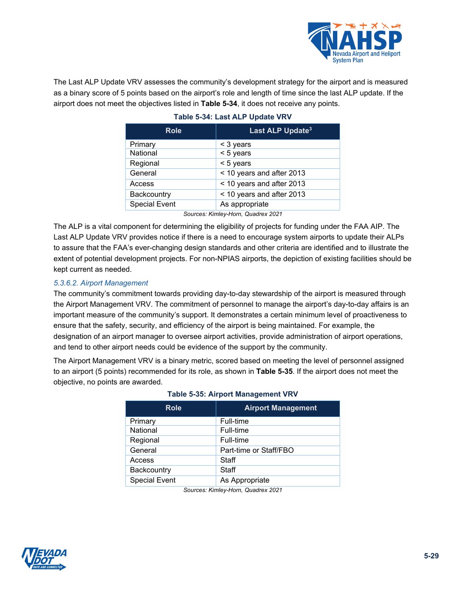

<span id="page-28-0"></span>The Last ALP Update VRV assesses the community's development strategy for the airport and is measured as a binary score of 5 points based on the airport's role and length of time since the last ALP update. If the airport does not meet the objectives listed in **[Table 5-34](#page-28-0)**, it does not receive any points.

| <b>Role</b>          | Last ALP Update <sup>3</sup> |  |  |
|----------------------|------------------------------|--|--|
| Primary              | < 3 years                    |  |  |
| National             | < 5 years                    |  |  |
| Regional             | $< 5$ years                  |  |  |
| General              | < 10 years and after 2013    |  |  |
| Access               | < 10 years and after 2013    |  |  |
| Backcountry          | < 10 years and after 2013    |  |  |
| <b>Special Event</b> | As appropriate               |  |  |

#### **Table 5-34: Last ALP Update VRV**

*Sources: Kimley-Horn, Quadrex 2021*

The ALP is a vital component for determining the eligibility of projects for funding under the FAA AIP. The Last ALP Update VRV provides notice if there is a need to encourage system airports to update their ALPs to assure that the FAA's ever-changing design standards and other criteria are identified and to illustrate the extent of potential development projects. For non-NPIAS airports, the depiction of existing facilities should be kept current as needed.

## *5.3.6.2. Airport Management*

The community's commitment towards providing day-to-day stewardship of the airport is measured through the Airport Management VRV. The commitment of personnel to manage the airport's day-to-day affairs is an important measure of the community's support. It demonstrates a certain minimum level of proactiveness to ensure that the safety, security, and efficiency of the airport is being maintained. For example, the designation of an airport manager to oversee airport activities, provide administration of airport operations, and tend to other airport needs could be evidence of the support by the community.

<span id="page-28-1"></span>The Airport Management VRV is a binary metric, scored based on meeting the level of personnel assigned to an airport (5 points) recommended for its role, as shown in **[Table 5-35](#page-28-1)**. If the airport does not meet the objective, no points are awarded.

| <b>Role</b>          | <b>Airport Management</b> |  |  |
|----------------------|---------------------------|--|--|
| Primary              | Full-time                 |  |  |
| National             | Full-time                 |  |  |
| Regional             | Full-time                 |  |  |
| General              | Part-time or Staff/FBO    |  |  |
| Access               | Staff                     |  |  |
| Backcountry          | Staff                     |  |  |
| <b>Special Event</b> | As Appropriate            |  |  |

#### **Table 5-35: Airport Management VRV**

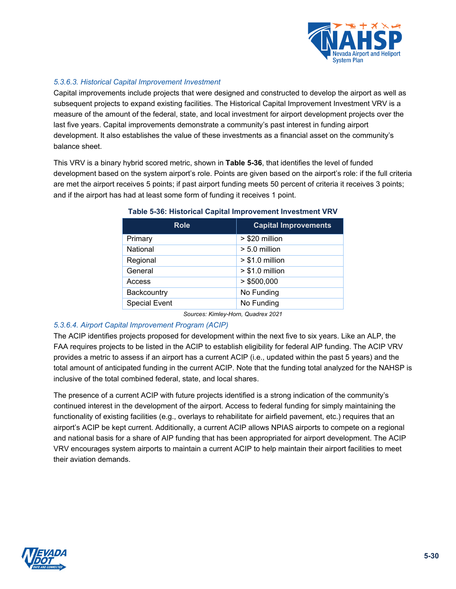

## *5.3.6.3. Historical Capital Improvement Investment*

Capital improvements include projects that were designed and constructed to develop the airport as well as subsequent projects to expand existing facilities. The Historical Capital Improvement Investment VRV is a measure of the amount of the federal, state, and local investment for airport development projects over the last five years. Capital improvements demonstrate a community's past interest in funding airport development. It also establishes the value of these investments as a financial asset on the community's balance sheet.

<span id="page-29-0"></span>This VRV is a binary hybrid scored metric, shown in **[Table 5-36](#page-29-0)**, that identifies the level of funded development based on the system airport's role. Points are given based on the airport's role: if the full criteria are met the airport receives 5 points; if past airport funding meets 50 percent of criteria it receives 3 points; and if the airport has had at least some form of funding it receives 1 point.

| <b>Role</b>          | <b>Capital Improvements</b> |
|----------------------|-----------------------------|
| Primary              | > \$20 million              |
| National             | $> 5.0$ million             |
| Regional             | $> $1.0$ million            |
| General              | $> $1.0$ million            |
| Access               | > \$500,000                 |
| Backcountry          | No Funding                  |
| <b>Special Event</b> | No Funding                  |

#### **Table 5-36: Historical Capital Improvement Investment VRV**

*Sources: Kimley-Horn, Quadrex 2021*

#### *5.3.6.4. Airport Capital Improvement Program (ACIP)*

The ACIP identifies projects proposed for development within the next five to six years. Like an ALP, the FAA requires projects to be listed in the ACIP to establish eligibility for federal AIP funding. The ACIP VRV provides a metric to assess if an airport has a current ACIP (i.e., updated within the past 5 years) and the total amount of anticipated funding in the current ACIP. Note that the funding total analyzed for the NAHSP is inclusive of the total combined federal, state, and local shares.

The presence of a current ACIP with future projects identified is a strong indication of the community's continued interest in the development of the airport. Access to federal funding for simply maintaining the functionality of existing facilities (e.g., overlays to rehabilitate for airfield pavement, etc.) requires that an airport's ACIP be kept current. Additionally, a current ACIP allows NPIAS airports to compete on a regional and national basis for a share of AIP funding that has been appropriated for airport development. The ACIP VRV encourages system airports to maintain a current ACIP to help maintain their airport facilities to meet their aviation demands.

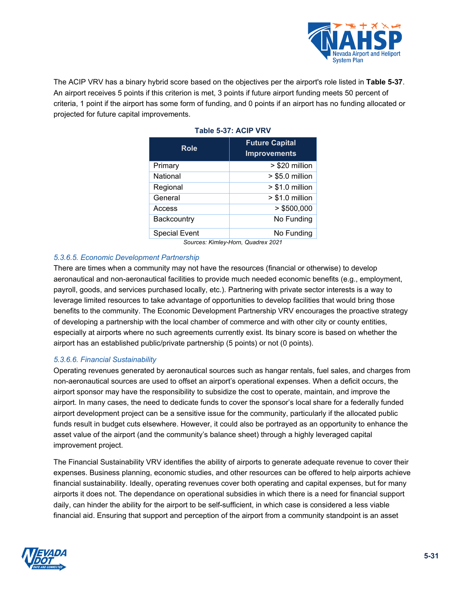

<span id="page-30-0"></span>The ACIP VRV has a binary hybrid score based on the objectives per the airport's role listed in **[Table 5-37](#page-30-0)**. An airport receives 5 points if this criterion is met, 3 points if future airport funding meets 50 percent of criteria, 1 point if the airport has some form of funding, and 0 points if an airport has no funding allocated or projected for future capital improvements.

| <b>Future Capital</b><br><b>Improvements</b> |  |  |
|----------------------------------------------|--|--|
| > \$20 million                               |  |  |
| $> $5.0$ million                             |  |  |
| $> $1.0$ million                             |  |  |
| $> $1.0$ million                             |  |  |
| > \$500,000                                  |  |  |
| No Funding                                   |  |  |
| No Funding                                   |  |  |
| Courage: Kimley Harn, Ouadray 2021           |  |  |

## **Table 5-37: ACIP VRV**

*Sources: Kimley-Horn, Quadrex 2021*

## *5.3.6.5. Economic Development Partnership*

There are times when a community may not have the resources (financial or otherwise) to develop aeronautical and non-aeronautical facilities to provide much needed economic benefits (e.g., employment, payroll, goods, and services purchased locally, etc.). Partnering with private sector interests is a way to leverage limited resources to take advantage of opportunities to develop facilities that would bring those benefits to the community. The Economic Development Partnership VRV encourages the proactive strategy of developing a partnership with the local chamber of commerce and with other city or county entities, especially at airports where no such agreements currently exist. Its binary score is based on whether the airport has an established public/private partnership (5 points) or not (0 points).

## *5.3.6.6. Financial Sustainability*

Operating revenues generated by aeronautical sources such as hangar rentals, fuel sales, and charges from non-aeronautical sources are used to offset an airport's operational expenses. When a deficit occurs, the airport sponsor may have the responsibility to subsidize the cost to operate, maintain, and improve the airport. In many cases, the need to dedicate funds to cover the sponsor's local share for a federally funded airport development project can be a sensitive issue for the community, particularly if the allocated public funds result in budget cuts elsewhere. However, it could also be portrayed as an opportunity to enhance the asset value of the airport (and the community's balance sheet) through a highly leveraged capital improvement project.

The Financial Sustainability VRV identifies the ability of airports to generate adequate revenue to cover their expenses. Business planning, economic studies, and other resources can be offered to help airports achieve financial sustainability. Ideally, operating revenues cover both operating and capital expenses, but for many airports it does not. The dependance on operational subsidies in which there is a need for financial support daily, can hinder the ability for the airport to be self-sufficient, in which case is considered a less viable financial aid. Ensuring that support and perception of the airport from a community standpoint is an asset

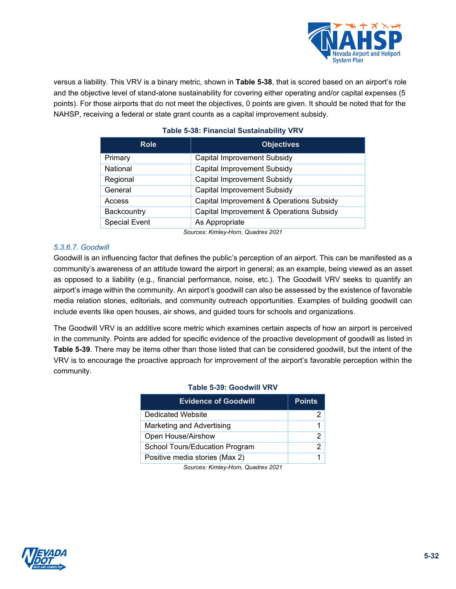

<span id="page-31-0"></span>versus a liability. This VRV is a binary metric, shown in **[Table 5-38](#page-31-0)**, that is scored based on an airport's role and the objective level of stand-alone sustainability for covering either operating and/or capital expenses (5 points). For those airports that do not meet the objectives, 0 points are given. It should be noted that for the NAHSP, receiving a federal or state grant counts as a capital improvement subsidy.

| <b>Role</b>          | <b>Objectives</b>                        |  |
|----------------------|------------------------------------------|--|
| Primary              | Capital Improvement Subsidy              |  |
| National             | <b>Capital Improvement Subsidy</b>       |  |
| Regional             | Capital Improvement Subsidy              |  |
| General              | Capital Improvement Subsidy              |  |
| Access               | Capital Improvement & Operations Subsidy |  |
| Backcountry          | Capital Improvement & Operations Subsidy |  |
| <b>Special Event</b> | As Appropriate                           |  |

## **Table 5-38: Financial Sustainability VRV**

*Sources: Kimley-Horn, Quadrex 2021*

## *5.3.6.7. Goodwill*

Goodwill is an influencing factor that defines the public's perception of an airport. This can be manifested as a community's awareness of an attitude toward the airport in general; as an example, being viewed as an asset as opposed to a liability (e.g., financial performance, noise, etc.). The Goodwill VRV seeks to quantify an airport's image within the community. An airport's goodwill can also be assessed by the existence of favorable media relation stories, editorials, and community outreach opportunities. Examples of building goodwill can include events like open houses, air shows, and guided tours for schools and organizations.

<span id="page-31-1"></span>The Goodwill VRV is an additive score metric which examines certain aspects of how an airport is perceived in the community. Points are added for specific evidence of the proactive development of goodwill as listed in **[Table 5-39](#page-31-1)**. There may be items other than those listed that can be considered goodwill, but the intent of the VRV is to encourage the proactive approach for improvement of the airport's favorable perception within the community.

| LADIE 3-99: GOOOWIII VRV       |                |  |  |
|--------------------------------|----------------|--|--|
| <b>Evidence of Goodwill</b>    | <b>Points</b>  |  |  |
| Dedicated Website              | 2              |  |  |
| Marketing and Advertising      |                |  |  |
| Open House/Airshow             | 2              |  |  |
| School Tours/Education Program | $\mathfrak{p}$ |  |  |
| Positive media stories (Max 2) |                |  |  |

## **Table 5-39: Goodwill VRV**

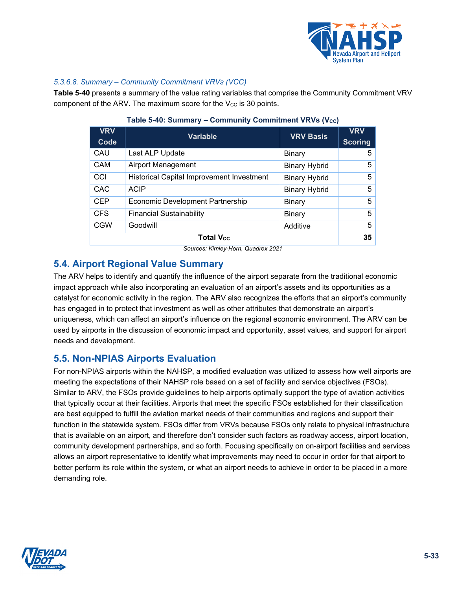

## *5.3.6.8. Summary – Community Commitment VRVs (VCC)*

<span id="page-32-1"></span>**[Table 5-40](#page-32-1)** presents a summary of the value rating variables that comprise the Community Commitment VRV component of the ARV. The maximum score for the  $V_{CC}$  is 30 points.

| <b>VRV</b><br>Code | <b>Variable</b>                                  | <b>VRV Basis</b>     | <b>VRV</b><br><b>Scoring</b> |
|--------------------|--------------------------------------------------|----------------------|------------------------------|
| CAU                | Last ALP Update                                  | Binary               | 5                            |
| <b>CAM</b>         | <b>Airport Management</b>                        | <b>Binary Hybrid</b> | 5                            |
| CCI                | <b>Historical Capital Improvement Investment</b> | <b>Binary Hybrid</b> | 5                            |
| CAC                | <b>ACIP</b>                                      | <b>Binary Hybrid</b> | 5                            |
| <b>CEP</b>         | <b>Economic Development Partnership</b>          | Binary               | 5                            |
| <b>CFS</b>         | <b>Financial Sustainability</b>                  | <b>Binary</b>        | 5                            |
| <b>CGW</b>         | Goodwill                                         | Additive             | 5                            |
| <b>Total Vcc</b>   |                                                  |                      |                              |

#### **Table 5-40: Summary – Community Commitment VRVs (Vcc)**

*Sources: Kimley-Horn, Quadrex 2021*

## **5.4. Airport Regional Value Summary**

The ARV helps to identify and quantify the influence of the airport separate from the traditional economic impact approach while also incorporating an evaluation of an airport's assets and its opportunities as a catalyst for economic activity in the region. The ARV also recognizes the efforts that an airport's community has engaged in to protect that investment as well as other attributes that demonstrate an airport's uniqueness, which can affect an airport's influence on the regional economic environment. The ARV can be used by airports in the discussion of economic impact and opportunity, asset values, and support for airport needs and development.

## <span id="page-32-0"></span>**5.5. Non-NPIAS Airports Evaluation**

For non-NPIAS airports within the NAHSP, a modified evaluation was utilized to assess how well airports are meeting the expectations of their NAHSP role based on a set of facility and service objectives (FSOs). Similar to ARV, the FSOs provide guidelines to help airports optimally support the type of aviation activities that typically occur at their facilities. Airports that meet the specific FSOs established for their classification are best equipped to fulfill the aviation market needs of their communities and regions and support their function in the statewide system. FSOs differ from VRVs because FSOs only relate to physical infrastructure that is available on an airport, and therefore don't consider such factors as roadway access, airport location, community development partnerships, and so forth. Focusing specifically on on-airport facilities and services allows an airport representative to identify what improvements may need to occur in order for that airport to better perform its role within the system, or what an airport needs to achieve in order to be placed in a more demanding role.

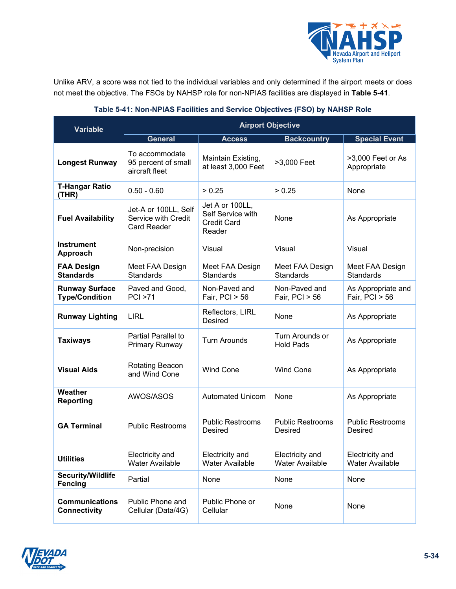

Unlike ARV, a score was not tied to the individual variables and only determined if the airport meets or does not meet the objective. The FSOs by NAHSP role for non-NPIAS facilities are displayed in **[Table 5-41](#page-33-0)**.

<span id="page-33-0"></span>

| <b>Variable</b>                                | <b>Airport Objective</b>                                          |                                                                      |                                           |                                        |  |
|------------------------------------------------|-------------------------------------------------------------------|----------------------------------------------------------------------|-------------------------------------------|----------------------------------------|--|
|                                                | <b>General</b>                                                    | <b>Access</b>                                                        | <b>Backcountry</b>                        | <b>Special Event</b>                   |  |
| <b>Longest Runway</b>                          | To accommodate<br>95 percent of small<br>aircraft fleet           | Maintain Existing,<br>at least 3,000 Feet                            | >3,000 Feet                               | >3,000 Feet or As<br>Appropriate       |  |
| <b>T-Hangar Ratio</b><br>(THR)                 | $0.50 - 0.60$                                                     | > 0.25                                                               | > 0.25                                    | None                                   |  |
| <b>Fuel Availability</b>                       | Jet-A or 100LL, Self<br>Service with Credit<br><b>Card Reader</b> | Jet A or 100LL,<br>Self Service with<br><b>Credit Card</b><br>Reader | None                                      | As Appropriate                         |  |
| <b>Instrument</b><br>Approach                  | Non-precision                                                     | Visual                                                               | Visual                                    | Visual                                 |  |
| <b>FAA Design</b><br><b>Standards</b>          | Meet FAA Design<br><b>Standards</b>                               | Meet FAA Design<br><b>Standards</b>                                  | Meet FAA Design<br><b>Standards</b>       | Meet FAA Design<br><b>Standards</b>    |  |
| <b>Runway Surface</b><br><b>Type/Condition</b> | Paved and Good,<br>PCI > 71                                       | Non-Paved and<br>Fair, $PCI > 56$                                    | Non-Paved and<br>Fair, $PCI > 56$         | As Appropriate and<br>Fair, $PCI > 56$ |  |
| <b>Runway Lighting</b>                         | <b>LIRL</b>                                                       | Reflectors, LIRL<br><b>Desired</b>                                   | None                                      | As Appropriate                         |  |
| <b>Taxiways</b>                                | <b>Partial Parallel to</b><br>Primary Runway                      | <b>Turn Arounds</b>                                                  | Turn Arounds or<br><b>Hold Pads</b>       | As Appropriate                         |  |
| <b>Visual Aids</b>                             | Rotating Beacon<br>and Wind Cone                                  | <b>Wind Cone</b>                                                     | <b>Wind Cone</b>                          | As Appropriate                         |  |
| Weather<br><b>Reporting</b>                    | AWOS/ASOS                                                         | <b>Automated Unicom</b>                                              | None                                      | As Appropriate                         |  |
| <b>GA Terminal</b>                             | <b>Public Restrooms</b>                                           | <b>Public Restrooms</b><br>Desired                                   | <b>Public Restrooms</b><br>Desired        | <b>Public Restrooms</b><br>Desired     |  |
| <b>Utilities</b>                               | Electricity and<br>Water Available                                | Electricity and<br>Water Available                                   | Electricity and<br><b>Water Available</b> | Electricity and<br>Water Available     |  |
| <b>Security/Wildlife</b><br><b>Fencing</b>     | Partial                                                           | None                                                                 | None                                      | None                                   |  |
| <b>Communications</b><br><b>Connectivity</b>   | Public Phone and<br>Cellular (Data/4G)                            | Public Phone or<br>Cellular                                          | None                                      | None                                   |  |

## **Table 5-41: Non-NPIAS Facilities and Service Objectives (FSO) by NAHSP Role**